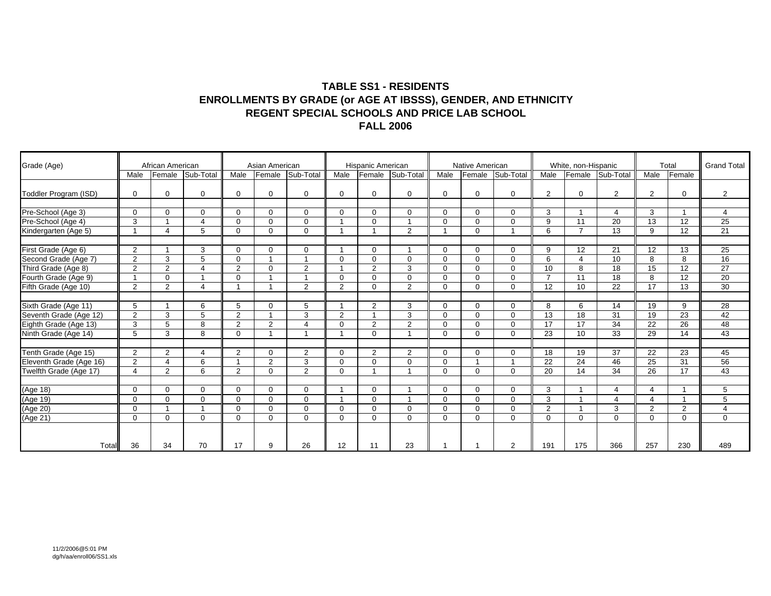#### **TABLE SS1 - RESIDENTS ENROLLMENTS BY GRADE (or AGE AT IBSSS), GENDER, AND ETHNICITY REGENT SPECIAL SCHOOLS AND PRICE LAB SCHOOL FALL 2006**

| Grade (Age)                                     |                       | African American        |                          |                         | Asian American |                         |                | Hispanic American |                |             | Native American |                |                | White, non-Hispanic |                  |                          | Total           | <b>Grand Total</b> |
|-------------------------------------------------|-----------------------|-------------------------|--------------------------|-------------------------|----------------|-------------------------|----------------|-------------------|----------------|-------------|-----------------|----------------|----------------|---------------------|------------------|--------------------------|-----------------|--------------------|
|                                                 | Male                  | Female                  | Sub-Total                | Male                    | Female         | Sub-Total               | Male           | Female            | Sub-Total      | Male        | Female          | Sub-Total      | Male           |                     | Female Sub-Total | Male                     | Female          |                    |
| Toddler Program (ISD)                           | $\Omega$              | $\mathbf 0$             | $\Omega$                 | $\mathbf 0$             | $\Omega$       | $\Omega$                | $\Omega$       | $\mathbf 0$       | $\Omega$       | $\Omega$    | $\Omega$        | $\mathbf 0$    | 2              | $\Omega$            | $\overline{2}$   | $\overline{2}$           | 0               | 2                  |
| Pre-School (Age 3)                              | $\Omega$              | $\Omega$                | $\Omega$                 | $\Omega$                | $\Omega$       | $\Omega$                | $\Omega$       | $\mathbf 0$       | $\Omega$       | $\Omega$    | $\Omega$        | $\mathbf 0$    | 3              |                     | 4                | 3                        |                 | 4                  |
| Pre-School (Age 4)                              | 3                     |                         | $\overline{4}$           | $\mathbf 0$             | $\Omega$       | $\mathbf 0$             |                | $\mathbf 0$       |                | $\Omega$    | $\Omega$        | $\mathbf 0$    | 9              | 11                  | 20               | 13                       | 12              | 25                 |
| Kindergarten (Age 5)                            |                       | 4                       | 5                        | $\mathbf 0$             | $\Omega$       | $\mathbf 0$             |                |                   | $\overline{2}$ |             | $\mathbf 0$     | $\overline{1}$ | 6              | $\overline{7}$      | 13               | 9                        | 12              | 21                 |
| First Grade (Age 6)                             | 2                     |                         | 3                        | $\Omega$                | $\Omega$       | $\Omega$                |                | $\mathbf 0$       |                | $\Omega$    | $\Omega$        | $\Omega$       | 9              | 12                  | 21               | 12                       | 13              | 25                 |
| Second Grade (Age 7)                            | 2                     | 3                       | 5                        | $\mathbf 0$             | -1             | 1                       | $\Omega$       | $\mathbf 0$       | $\mathbf 0$    | $\mathbf 0$ | $\Omega$        | $\mathbf 0$    | 6              | $\overline{4}$      | 10               | 8                        | 8               | 16                 |
| Third Grade (Age 8)                             | 2                     | 2                       | $\boldsymbol{\Delta}$    | 2                       | $\Omega$       | 2                       |                | 2                 | 3              | $\Omega$    | $\Omega$        | $\Omega$       | 10             | 8                   | 18               | 15                       | 12              | 27                 |
| Fourth Grade (Age 9)                            |                       | $\Omega$                | $\overline{ }$           | $\Omega$                | -1             | $\overline{\mathbf{1}}$ | $\Omega$       | $\mathbf 0$       | $\Omega$       | $\Omega$    | $\Omega$        | $\mathbf 0$    | $\overline{7}$ | 11                  | 18               | 8                        | 12              | $\overline{20}$    |
| Fifth Grade (Age 10)                            | 2                     | 2                       | $\overline{4}$           | $\overline{ }$          | -1             | $\overline{2}$          | $\overline{2}$ | $\mathbf 0$       | $\overline{2}$ | $\Omega$    | $\Omega$        | $\Omega$       | 12             | 10                  | 22               | 17                       | 13              | 30                 |
|                                                 |                       |                         |                          |                         |                |                         |                |                   |                |             |                 |                |                |                     |                  |                          |                 |                    |
| Sixth Grade (Age 11)                            | 5                     | $\overline{\mathbf{A}}$ | 6                        | 5                       | $\Omega$       | 5                       |                | 2                 | 3              | $\Omega$    | $\Omega$        | $\mathbf 0$    | 8              | 6                   | 14               | 19                       | 9               | 28                 |
| Seventh Grade (Age 12)<br>Eighth Grade (Age 13) | 2                     | 3                       | 5                        | 2                       |                | 3                       | $\overline{2}$ |                   | 3              | $\Omega$    | $\Omega$        | $\mathbf 0$    | 13             | 18                  | 31               | 19                       | 23              | 42                 |
|                                                 | 3                     | 5                       | 8                        | 2                       | 2              | $\overline{\mathbf{A}}$ | $\Omega$       | 2                 | $\overline{2}$ | $\Omega$    | $\Omega$        | $\mathbf 0$    | 17             | 17                  | 34               | 22                       | $\overline{26}$ | 48                 |
| Ninth Grade (Age 14)                            | 5                     | 3                       | 8                        | $\Omega$                |                | 1                       |                | $\mathbf 0$       |                | $\Omega$    | $\Omega$        | $\Omega$       | 23             | 10                  | 33               | 29                       | 14              | 43                 |
| Tenth Grade (Age 15)                            | 2                     | $\overline{2}$          | $\overline{\mathcal{A}}$ | 2                       | $\Omega$       | $\overline{2}$          | $\Omega$       | 2                 | 2              | $\mathbf 0$ | $\Omega$        | $\mathbf 0$    | 18             | 19                  | 37               | 22                       | 23              | 45                 |
| Eleventh Grade (Age 16)                         | 2                     | 4                       | 6                        | $\overline{\mathbf{A}}$ | 2              | 3                       | $\Omega$       | $\mathbf 0$       | $\Omega$       | $\Omega$    |                 |                | 22             | 24                  | 46               | $\overline{25}$          | 31              | 56                 |
| Twelfth Grade (Age 17)                          | $\boldsymbol{\Delta}$ | $\overline{2}$          | 6                        | 2                       | $\Omega$       | 2                       | $\Omega$       |                   |                | $\Omega$    | $\Omega$        | $\Omega$       | 20             | 14                  | 34               | $\overline{26}$          | $\overline{17}$ | $\overline{43}$    |
|                                                 |                       |                         |                          |                         |                |                         |                |                   |                |             |                 |                |                |                     |                  |                          |                 |                    |
|                                                 | $\Omega$              | $\Omega$                | $\mathbf 0$              | $\mathbf 0$             | $\Omega$       | $\mathbf{0}$            |                | $\mathbf 0$       |                | $\Omega$    | $\Omega$        | $\mathbf 0$    | 3              |                     | 4                | $\boldsymbol{\Lambda}$   |                 | 5                  |
|                                                 | $\Omega$              | $\Omega$                | $\mathbf 0$              | $\mathbf 0$             | $\Omega$       | $\mathbf 0$             |                | $\mathbf 0$       |                | $\Omega$    | $\mathbf{0}$    | $\mathbf 0$    | 3              |                     | 4                | $\boldsymbol{\varDelta}$ | $\overline{A}$  | 5                  |
| (Age 18)<br>(Age 19)<br>(Age 20)<br>(Age 21)    | $\Omega$              |                         |                          | $\mathbf 0$             | $\Omega$       | $\mathbf 0$             | $\Omega$       | $\mathbf 0$       | $\Omega$       | $\Omega$    | $\Omega$        | $\mathbf 0$    | $\overline{2}$ |                     | 3                | $\overline{2}$           | $\overline{2}$  | $\overline{4}$     |
|                                                 | $\mathbf 0$           | $\Omega$                | $\Omega$                 | $\Omega$                | $\Omega$       | $\Omega$                | $\Omega$       | $\mathbf 0$       | $\Omega$       | $\Omega$    | $\Omega$        | $\Omega$       | $\Omega$       | $\Omega$            | 0                | $\Omega$                 | 0               | $\mathbf 0$        |
|                                                 |                       |                         |                          |                         |                |                         |                |                   |                |             |                 |                |                |                     |                  |                          |                 |                    |
| Total                                           | 36                    | 34                      | 70                       | 17                      | 9              | 26                      | 12             | 11                | 23             |             |                 | 2              | 191            | 175                 | 366              | 257                      | 230             | 489                |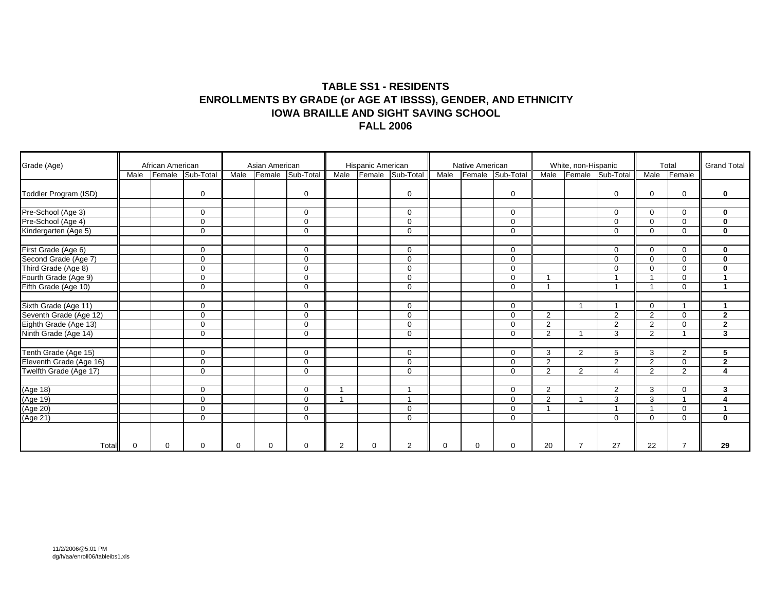#### **TABLE SS1 - RESIDENTS ENROLLMENTS BY GRADE (or AGE AT IBSSS), GENDER, AND ETHNICITY IOWA BRAILLE AND SIGHT SAVING SCHOOL FALL 2006**

| Grade (Age)                                     |             | African American |             |          | Asian American |             |                | Hispanic American |                          |          | Native American |             |                | White, non-Hispanic |                  |                         | Total          | <b>Grand Total</b>   |
|-------------------------------------------------|-------------|------------------|-------------|----------|----------------|-------------|----------------|-------------------|--------------------------|----------|-----------------|-------------|----------------|---------------------|------------------|-------------------------|----------------|----------------------|
|                                                 | Male        | Female           | Sub-Total   | Male     | Female         | Sub-Total   | Male           | Female            | Sub-Total                | Male     | Female          | Sub-Total   | Male           |                     | Female Sub-Total | Male                    | Female         |                      |
| Toddler Program (ISD)                           |             |                  | $\mathbf 0$ |          |                | $\mathbf 0$ |                |                   | $\Omega$                 |          |                 | $\mathbf 0$ |                |                     | 0                | $\mathbf 0$             | 0              | $\mathbf 0$          |
| Pre-School (Age 3)                              |             |                  | $\Omega$    |          |                | $\mathbf 0$ |                |                   | $\Omega$                 |          |                 | $\mathbf 0$ |                |                     | $\Omega$         | $\Omega$                | 0              | $\mathbf 0$          |
| Pre-School (Age 4)                              |             |                  | $\Omega$    |          |                | $\Omega$    |                |                   | $\Omega$                 |          |                 | $\Omega$    |                |                     | $\Omega$         | $\Omega$                | $\Omega$       | $\mathbf 0$          |
| Kindergarten (Age 5)                            |             |                  | $\mathbf 0$ |          |                | $\mathbf 0$ |                |                   | $\mathbf 0$              |          |                 | $\mathbf 0$ |                |                     | $\Omega$         | $\mathbf 0$             | 0              | $\mathbf 0$          |
| First Grade (Age 6)                             |             |                  | $\Omega$    |          |                | $\Omega$    |                |                   | $\Omega$                 |          |                 | $\mathbf 0$ |                |                     | $\Omega$         | $\overline{0}$          | $\Omega$       | $\mathbf 0$          |
|                                                 |             |                  | $\Omega$    |          |                | $\Omega$    |                |                   | $\Omega$                 |          |                 | $\mathbf 0$ |                |                     | $\Omega$         | $\Omega$                | $\Omega$       | $\mathbf 0$          |
| Second Grade (Age 7)<br>Third Grade (Age 8)     |             |                  | $\mathbf 0$ |          |                | $\mathbf 0$ |                |                   | $\Omega$                 |          |                 | $\mathbf 0$ |                |                     | $\Omega$         | $\Omega$                | $\Omega$       | $\mathbf 0$          |
| Fourth Grade (Age 9)                            |             |                  | $\mathbf 0$ |          |                | $\mathbf 0$ |                |                   | $\mathbf 0$              |          |                 | $\mathbf 0$ |                |                     | 1                | $\overline{\mathbf{1}}$ | 0              | $\mathbf{1}$         |
| Fifth Grade (Age 10)                            |             |                  | $\mathbf 0$ |          |                | $\Omega$    |                |                   | $\Omega$                 |          |                 | $\Omega$    |                |                     |                  | $\overline{\mathbf{1}}$ | 0              | $\blacktriangleleft$ |
| Sixth Grade (Age 11)                            |             |                  | $\Omega$    |          |                | $\mathbf 0$ |                |                   | $\Omega$                 |          |                 | $\mathbf 0$ |                |                     |                  | $\Omega$                |                | 1                    |
|                                                 |             |                  | $\Omega$    |          |                | $\Omega$    |                |                   | $\Omega$                 |          |                 | $\Omega$    | 2              |                     | $\overline{2}$   | $\overline{2}$          | $\Omega$       | $\overline{2}$       |
| Seventh Grade (Age 12)<br>Eighth Grade (Age 13) |             |                  | $\mathbf 0$ |          |                | 0           |                |                   | $\Omega$                 |          |                 | $\mathbf 0$ | $\overline{2}$ |                     | 2                | $\overline{2}$          | $\Omega$       | $\mathbf{2}$         |
| Ninth Grade (Age 14)                            |             |                  | $\mathbf 0$ |          |                | $\mathbf 0$ |                |                   | $\Omega$                 |          |                 | $\mathbf 0$ | 2              |                     | 3                | 2                       |                | $\mathbf{3}$         |
|                                                 |             |                  |             |          |                |             |                |                   |                          |          |                 |             |                |                     |                  |                         |                |                      |
| Tenth Grade (Age 15)<br>Eleventh Grade (Age 16) |             |                  | $\mathbf 0$ |          |                | 0           |                |                   | $\mathbf 0$              |          |                 | $\mathbf 0$ | 3              | 2                   | 5                | 3                       | 2              | 5                    |
|                                                 |             |                  | 0           |          |                | $\mathbf 0$ |                |                   | $\Omega$                 |          |                 | $\mathbf 0$ | 2              |                     | 2                | $\overline{2}$          | $\Omega$       | $\mathbf{2}$         |
| Twelfth Grade (Age 17)                          |             |                  | $\mathbf 0$ |          |                | $\Omega$    |                |                   | $\mathbf 0$              |          |                 | $\mathbf 0$ | 2              | 2                   | 4                | $\overline{2}$          | $\overline{2}$ | 4                    |
| (Age 18)                                        |             |                  | $\Omega$    |          |                | 0           |                |                   |                          |          |                 | $\mathbf 0$ | 2              |                     | 2                | 3                       | $\Omega$       | 3                    |
|                                                 |             |                  | $\mathbf 0$ |          |                | $\Omega$    |                |                   | $\overline{\phantom{a}}$ |          |                 | $\mathbf 0$ | $\overline{2}$ |                     | 3                | 3                       |                | 4                    |
|                                                 |             |                  | $\mathbf 0$ |          |                | $\mathbf 0$ |                |                   | $\mathbf 0$              |          |                 | $\mathbf 0$ |                |                     |                  | $\overline{\mathbf{1}}$ | 0              | $\blacktriangleleft$ |
| (Age 19)<br>(Age 20)<br>(Age 21)                |             |                  | $\mathbf 0$ |          |                | $\mathbf 0$ |                |                   | $\mathbf 0$              |          |                 | $\mathbf 0$ |                |                     | $\mathbf 0$      | $\mathbf 0$             | 0              | $\mathbf 0$          |
|                                                 |             |                  |             |          |                |             |                |                   |                          |          |                 |             |                |                     |                  |                         |                |                      |
| Total                                           | $\mathbf 0$ | $\Omega$         | $\Omega$    | $\Omega$ | $\Omega$       | $\Omega$    | $\overline{2}$ | $\Omega$          | $\overline{2}$           | $\Omega$ | 0               | $\mathbf 0$ | 20             |                     | 27               | 22                      | $\overline{7}$ | 29                   |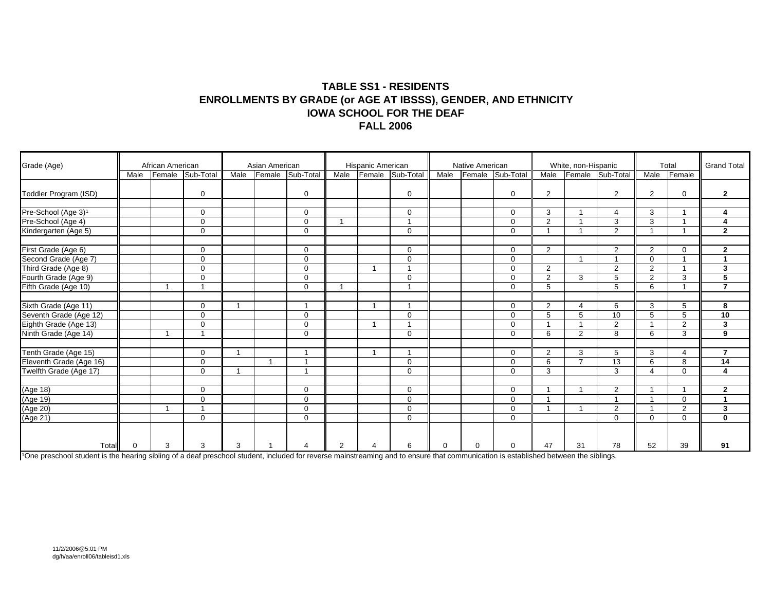#### **TABLE SS1 - RESIDENTSENROLLMENTS BY GRADE (or AGE AT IBSSS), GENDER, AND ETHNICITY IOWA SCHOOL FOR THE DEAF FALL 2006**

| Grade (Age)                                                                                                        |      | African American |             |      | Asian American |                         |      | Hispanic American |                  |          | Native American |                                                                                                    |                | White, non-Hispanic |                  |                         | Total          | <b>Grand Total</b>      |
|--------------------------------------------------------------------------------------------------------------------|------|------------------|-------------|------|----------------|-------------------------|------|-------------------|------------------|----------|-----------------|----------------------------------------------------------------------------------------------------|----------------|---------------------|------------------|-------------------------|----------------|-------------------------|
|                                                                                                                    | Male | Female           | Sub-Total   | Male | Female         | Sub-Total               | Male |                   | Female Sub-Total | Male     | Female          | Sub-Total                                                                                          | Male           |                     | Female Sub-Total | Male                    | Female         |                         |
| Toddler Program (ISD)                                                                                              |      |                  | $\mathbf 0$ |      |                | $\mathbf 0$             |      |                   | $\mathbf 0$      |          |                 | $\mathbf 0$                                                                                        | $\overline{2}$ |                     | 2                | $\overline{2}$          | 0              | $\overline{2}$          |
| Pre-School (Age 3) <sup>1</sup>                                                                                    |      |                  | $\mathbf 0$ |      |                | $\mathbf 0$             |      |                   | $\Omega$         |          |                 | $\mathbf 0$                                                                                        | 3              |                     | 4                | 3                       |                | 4                       |
| Pre-School (Age 4)                                                                                                 |      |                  | $\mathbf 0$ |      |                | $\mathbf 0$             |      |                   |                  |          |                 | $\mathbf 0$                                                                                        | 2              |                     | 3                | 3                       |                | $\overline{4}$          |
| Kindergarten (Age 5)                                                                                               |      |                  | $\mathbf 0$ |      |                | $\mathbf 0$             |      |                   | $\mathbf 0$      |          |                 | $\mathbf 0$                                                                                        |                |                     | 2                | $\overline{\mathbf{1}}$ |                | $\mathbf{2}$            |
| First Grade (Age 6)                                                                                                |      |                  | $\Omega$    |      |                | $\mathbf 0$             |      |                   | $\Omega$         |          |                 | $\mathbf 0$                                                                                        | 2              |                     | $\overline{2}$   | 2                       | $\Omega$       | $\overline{2}$          |
| Second Grade (Age 7)                                                                                               |      |                  | $\Omega$    |      |                | $\Omega$                |      |                   | $\Omega$         |          |                 | $\Omega$                                                                                           |                | $\overline{A}$      |                  | $\Omega$                |                | $\overline{\mathbf{A}}$ |
| Third Grade (Age 8)                                                                                                |      |                  | $\mathbf 0$ |      |                | $\mathbf 0$             |      |                   |                  |          |                 | $\mathbf 0$                                                                                        | 2              |                     | 2                | $\overline{2}$          |                | 3                       |
| Fourth Grade (Age 9)                                                                                               |      |                  | $\Omega$    |      |                | $\Omega$                |      |                   | $\Omega$         |          |                 | $\mathbf 0$                                                                                        | $\overline{2}$ | 3                   | 5                | 2                       | 3              | $\overline{5}$          |
| Fifth Grade (Age 10)                                                                                               |      |                  |             |      |                | $\Omega$                |      |                   |                  |          |                 | $\mathbf 0$                                                                                        | 5              |                     | 5                | 6                       |                | $\overline{7}$          |
| Sixth Grade (Age 11)                                                                                               |      |                  | $\mathbf 0$ |      |                |                         |      |                   |                  |          |                 | $\mathbf 0$                                                                                        | $\overline{2}$ | 4                   | 6                | 3                       | 5              | 8                       |
| Seventh Grade (Age 12)                                                                                             |      |                  | $\Omega$    |      |                | $\Omega$                |      |                   | $\Omega$         |          |                 | $\mathbf 0$                                                                                        | 5              | 5                   | 10               | 5                       | 5              | 10                      |
|                                                                                                                    |      |                  | $\Omega$    |      |                | $\Omega$                |      |                   |                  |          |                 | $\mathbf 0$                                                                                        |                |                     | 2                |                         | $\overline{2}$ | $\mathbf{3}$            |
| Eighth Grade (Age 13)<br>Ninth Grade (Age 14)                                                                      |      |                  |             |      |                | $\mathbf 0$             |      |                   | $\Omega$         |          |                 | $\mathbf 0$                                                                                        | 6              | 2                   | 8                | 6                       | 3              | 9                       |
| Tenth Grade (Age 15)                                                                                               |      |                  | $\mathbf 0$ |      |                | 4                       |      |                   |                  |          |                 | $\mathbf 0$                                                                                        | 2              | 3                   | 5                | 3                       | 4              | $\overline{7}$          |
| Eleventh Grade (Age 16)                                                                                            |      |                  | $\mathbf 0$ |      |                | $\overline{\mathbf{A}}$ |      |                   | $\Omega$         |          |                 | $\mathbf 0$                                                                                        | 6              | $\overline{7}$      | 13               | 6                       | 8              | 14                      |
| Twelfth Grade (Age 17)                                                                                             |      |                  | $\mathbf 0$ |      |                |                         |      |                   | $\Omega$         |          |                 | $\mathbf 0$                                                                                        | 3              |                     | 3                | $\overline{4}$          | 0              | 4                       |
|                                                                                                                    |      |                  | $\mathbf 0$ |      |                | $\mathbf 0$             |      |                   | $\Omega$         |          |                 | $\mathbf 0$                                                                                        |                |                     | 2                |                         |                | $\overline{2}$          |
| (Age 18)<br>(Age 19)                                                                                               |      |                  | $\mathbf 0$ |      |                | $\mathbf 0$             |      |                   | $\Omega$         |          |                 | $\mathbf 0$                                                                                        |                |                     |                  |                         | $\Omega$       | 1                       |
| (Age 20)                                                                                                           |      |                  |             |      |                | $\Omega$                |      |                   | $\Omega$         |          |                 | $\mathbf 0$                                                                                        |                |                     | $\overline{2}$   |                         | $\overline{2}$ | $\mathbf{3}$            |
| (Age 21)                                                                                                           |      |                  | $\mathbf 0$ |      |                | $\mathbf 0$             |      |                   | $\mathbf 0$      |          |                 | $\mathbf 0$                                                                                        |                |                     | $\Omega$         | $\mathbf 0$             | 0              | $\mathbf{0}$            |
|                                                                                                                    |      |                  |             |      |                |                         |      |                   |                  |          |                 |                                                                                                    |                |                     |                  |                         |                |                         |
| Total<br>10 a comparadored excelent in the beneficial distinct of a short was a developed the developed to develop | 0    | 3                | 3           | 3    |                | Δ                       | 2    | 4                 | 6                | $\Omega$ | 0               | $\mathbf 0$<br>وبالمالية والمساهد والمستحدث والمستحل والمتابع والمتعاون والمتحدث والمتحدث والمنافذ | 47             | 31                  | 78               | 52                      | 39             | 91                      |

<sup>1</sup>One preschool student is the hearing sibling of a deaf preschool student, included for reverse mainstreaming and to ensure that communication is established between the siblings.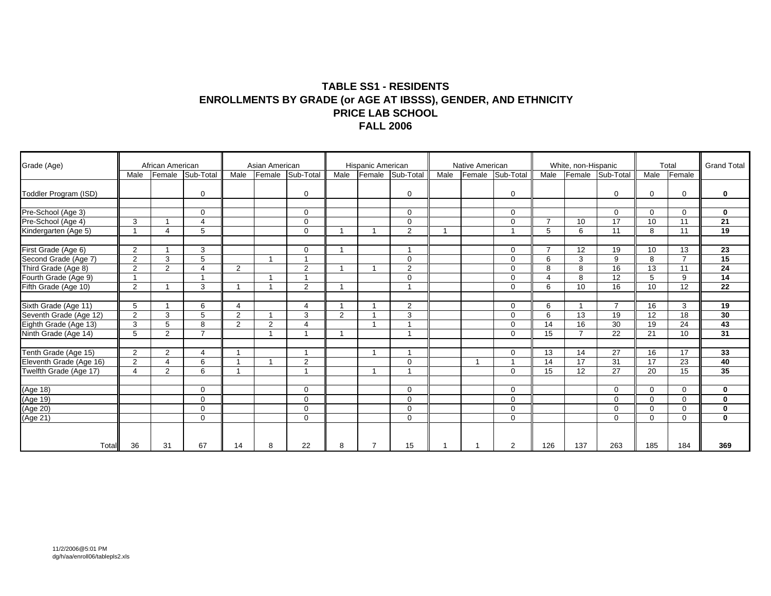#### **TABLE SS1 - RESIDENTS ENROLLMENTS BY GRADE (or AGE AT IBSSS), GENDER, AND ETHNICITY PRICE LAB SCHOOL FALL 2006**

| Grade (Age)                                     |                       | African American |                          |                | Asian American |                |                | Hispanic American |                          |      | Native American |                |                | White, non-Hispanic |                  |          | Total           | <b>Grand Total</b> |
|-------------------------------------------------|-----------------------|------------------|--------------------------|----------------|----------------|----------------|----------------|-------------------|--------------------------|------|-----------------|----------------|----------------|---------------------|------------------|----------|-----------------|--------------------|
|                                                 | Male                  | Female           | Sub-Total                | Male           | Female         | Sub-Total      | Male           | Female            | Sub-Total                | Male | Female          | Sub-Total      | Male           |                     | Female Sub-Total | Male     | Female          |                    |
| Toddler Program (ISD)                           |                       |                  | $\mathbf 0$              |                |                | $\mathbf 0$    |                |                   | $\mathbf 0$              |      |                 | $\mathbf 0$    |                |                     | 0                | $\Omega$ | $\mathbf 0$     | $\mathbf 0$        |
| Pre-School (Age 3)                              |                       |                  | $\Omega$                 |                |                | 0              |                |                   | $\Omega$                 |      |                 | $\mathbf 0$    |                |                     | 0                | $\Omega$ | $\mathbf 0$     | $\mathbf 0$        |
| Pre-School (Age 4)                              | 3                     |                  | $\overline{4}$           |                |                | $\Omega$       |                |                   | $\Omega$                 |      |                 | $\mathbf 0$    | $\overline{7}$ | 10                  | 17               | 10       | 11              | 21                 |
| Kindergarten (Age 5)                            |                       | 4                | 5                        |                |                | $\mathbf 0$    |                |                   | 2                        |      |                 | $\overline{1}$ | 5              | 6                   | 11               | 8        | 11              | 19                 |
| First Grade (Age 6)                             | 2                     |                  | 3                        |                |                | $\Omega$       |                |                   |                          |      |                 | $\Omega$       | $\overline{7}$ | 12                  | 19               | 10       | 13              | 23                 |
| Second Grade (Age 7)                            | $\overline{2}$        | 3                | 5                        |                |                |                |                |                   | $\Omega$                 |      |                 | $\mathbf 0$    | 6              | 3                   | 9                | 8        | $\overline{7}$  | 15                 |
| Third Grade (Age 8)                             | $\overline{2}$        | 2                | $\overline{4}$           | 2              |                | 2              |                |                   | 2                        |      |                 | $\mathbf 0$    | 8              | 8                   | 16               | 13       | 11              | 24                 |
| Fourth Grade (Age 9)                            |                       |                  | $\overline{ }$           |                |                | $\overline{ }$ |                |                   | $\Omega$                 |      |                 | $\mathbf 0$    | $\overline{a}$ | 8                   | 12               | 5        | 9               | 14                 |
| Fifth Grade (Age 10)                            | 2                     |                  | 3                        | $\overline{ }$ |                | $\overline{2}$ |                |                   |                          |      |                 | $\mathbf 0$    | 6              | 10                  | 16               | 10       | $\overline{12}$ | $\overline{22}$    |
| Sixth Grade (Age 11)                            | 5                     |                  | 6                        | 4              |                | 4              |                |                   | 2                        |      |                 | $\mathbf 0$    | 6              |                     | $\overline{7}$   | 16       | $\mathbf{3}$    | 19                 |
|                                                 | $\overline{2}$        | 3                | 5                        | 2              |                | 3              | $\overline{2}$ |                   | 3                        |      |                 | $\mathbf 0$    | 6              | 13                  | 19               | 12       | 18              | 30                 |
| Seventh Grade (Age 12)<br>Eighth Grade (Age 13) | 3                     | 5                | 8                        | 2              | $\overline{2}$ | 4              |                |                   |                          |      |                 | $\mathbf 0$    | 14             | 16                  | 30               | 19       | 24              | 43                 |
| Ninth Grade (Age 14)                            | 5                     | $\overline{2}$   | $\overline{7}$           |                | $\mathbf 1$    | 1              |                |                   |                          |      |                 | $\Omega$       | 15             | $\overline{7}$      | 22               | 21       | 10              | 31                 |
| Tenth Grade (Age 15)                            | $\overline{2}$        | 2                | $\overline{\mathcal{A}}$ | $\mathbf 1$    |                | $\overline{1}$ |                |                   |                          |      |                 | $\mathbf 0$    | 13             | 14                  | 27               | 16       | 17              | 33                 |
| Eleventh Grade (Age 16)                         | $\overline{2}$        | 4                | 6                        | $\overline{ }$ |                | 2              |                |                   | $\Omega$                 |      | -1              | $\overline{1}$ | 14             | 17                  | 31               | 17       | 23              | 40                 |
| Twelfth Grade (Age 17)                          | $\boldsymbol{\Delta}$ | $\overline{2}$   | 6                        | $\overline{1}$ |                | $\overline{ }$ |                |                   | $\overline{\phantom{a}}$ |      |                 | $\Omega$       | 15             | 12                  | 27               | 20       | 15              | 35                 |
| (Age 18)                                        |                       |                  | $\mathbf 0$              |                |                | $\mathbf 0$    |                |                   | $\Omega$                 |      |                 | $\mathbf 0$    |                |                     | 0                | $\Omega$ | 0               | $\mathbf 0$        |
|                                                 |                       |                  | $\mathbf 0$              |                |                | $\mathbf 0$    |                |                   | $\mathbf 0$              |      |                 | $\mathbf 0$    |                |                     | $\Omega$         | $\Omega$ | $\mathbf 0$     | $\mathbf 0$        |
|                                                 |                       |                  | $\mathbf 0$              |                |                | $\Omega$       |                |                   | $\Omega$                 |      |                 | $\mathbf 0$    |                |                     | $\Omega$         | $\Omega$ | $\Omega$        | $\bf{0}$           |
| (Age 19)<br>(Age 20)<br>(Age 21)                |                       |                  | $\mathbf 0$              |                |                | $\Omega$       |                |                   | $\Omega$                 |      |                 | $\mathbf 0$    |                |                     | $\Omega$         | $\Omega$ | $\mathbf 0$     | $\mathbf 0$        |
|                                                 |                       |                  |                          |                |                |                |                |                   |                          |      |                 |                |                |                     |                  |          |                 |                    |
| Total                                           | 36                    | 31               | 67                       | 14             | 8              | 22             | 8              | $\overline{7}$    | 15                       |      |                 | 2              | 126            | 137                 | 263              | 185      | 184             | 369                |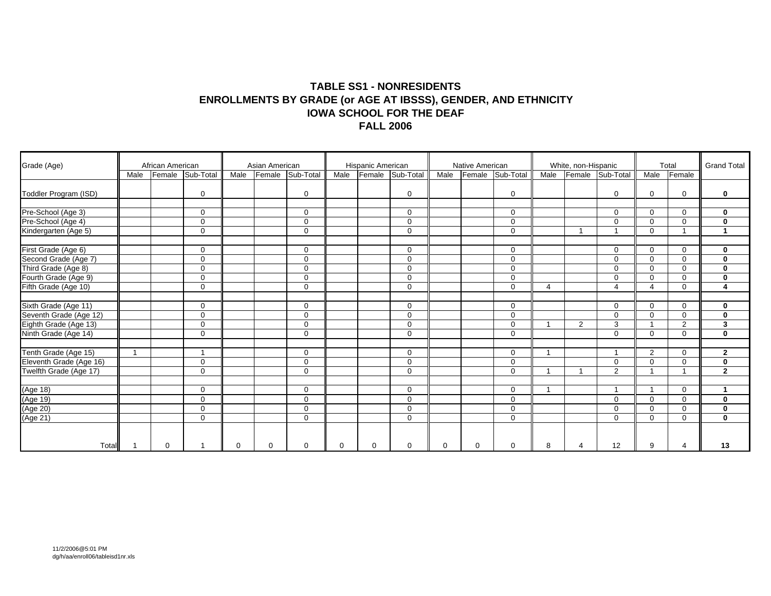#### **TABLE SS1 - NONRESIDENTS ENROLLMENTS BY GRADE (or AGE AT IBSSS), GENDER, AND ETHNICITY IOWA SCHOOL FOR THE DEAF FALL 2006**

| Grade (Age)                                     |      | African American |                |          | Asian American |             |          | Hispanic American |                  |          | Native American |              |                | White, non-Hispanic |                         |                         | Total                    | <b>Grand Total</b>      |
|-------------------------------------------------|------|------------------|----------------|----------|----------------|-------------|----------|-------------------|------------------|----------|-----------------|--------------|----------------|---------------------|-------------------------|-------------------------|--------------------------|-------------------------|
|                                                 | Male | Female           | Sub-Total      | Male     | Female         | Sub-Total   | Male     |                   | Female Sub-Total | Male     | Female          | Sub-Total    | Male           |                     | Female Sub-Total        | Male                    | Female                   |                         |
| Toddler Program (ISD)                           |      |                  | $\mathbf 0$    |          |                | $\mathbf 0$ |          |                   | $\Omega$         |          |                 | $\mathbf 0$  |                |                     | 0                       | $\mathbf 0$             | 0                        | $\mathbf 0$             |
| Pre-School (Age 3)                              |      |                  | $\Omega$       |          |                | $\mathbf 0$ |          |                   | $\Omega$         |          |                 | $\mathbf 0$  |                |                     | $\Omega$                | $\Omega$                | $\Omega$                 | $\mathbf 0$             |
| Pre-School (Age 4)                              |      |                  | $\Omega$       |          |                | $\Omega$    |          |                   | $\Omega$         |          |                 | $\Omega$     |                |                     | $\Omega$                | $\Omega$                | $\Omega$                 | $\mathbf 0$             |
| Kindergarten (Age 5)                            |      |                  | $\mathbf 0$    |          |                | $\mathbf 0$ |          |                   | $\mathbf 0$      |          |                 | $\mathbf 0$  |                |                     | $\overline{\mathbf{A}}$ | $\mathbf 0$             | $\overline{\phantom{a}}$ | $\mathbf{1}$            |
| First Grade (Age 6)                             |      |                  | $\Omega$       |          |                | $\Omega$    |          |                   | $\Omega$         |          |                 | $\mathbf 0$  |                |                     | $\Omega$                | $\overline{0}$          | $\Omega$                 | $\mathbf 0$             |
|                                                 |      |                  | $\Omega$       |          |                | $\Omega$    |          |                   | $\Omega$         |          |                 | $\mathbf 0$  |                |                     | $\Omega$                | $\Omega$                | $\Omega$                 | $\mathbf 0$             |
| Second Grade (Age 7)<br>Third Grade (Age 8)     |      |                  | $\mathbf 0$    |          |                | $\mathbf 0$ |          |                   | $\Omega$         |          |                 | $\mathbf 0$  |                |                     | $\Omega$                | $\mathbf 0$             | $\Omega$                 | $\mathbf 0$             |
| Fourth Grade (Age 9)                            |      |                  | $\mathbf 0$    |          |                | $\mathbf 0$ |          |                   | $\mathbf 0$      |          |                 | $\mathbf{0}$ |                |                     | $\mathbf 0$             | $\mathbf 0$             | 0                        | $\mathbf{0}$            |
| Fifth Grade (Age 10)                            |      |                  | $\mathbf 0$    |          |                | $\Omega$    |          |                   | $\Omega$         |          |                 | $\Omega$     | $\overline{4}$ |                     | 4                       | $\overline{4}$          | 0                        | $\overline{\mathbf{4}}$ |
|                                                 |      |                  |                |          |                |             |          |                   |                  |          |                 |              |                |                     |                         |                         |                          |                         |
| Sixth Grade (Age 11)                            |      |                  | $\Omega$       |          |                | $\mathbf 0$ |          |                   | $\Omega$         |          |                 | $\mathbf 0$  |                |                     | $\Omega$                | $\Omega$                | $\Omega$                 | $\mathbf 0$             |
| Seventh Grade (Age 12)<br>Eighth Grade (Age 13) |      |                  | $\Omega$       |          |                | $\Omega$    |          |                   | $\Omega$         |          |                 | $\Omega$     |                |                     | $\Omega$                | $\Omega$                | $\Omega$                 | $\mathbf 0$             |
|                                                 |      |                  | $\mathbf 0$    |          |                | 0           |          |                   | $\Omega$         |          |                 | $\mathbf 0$  |                | 2                   | 3                       | $\overline{\mathbf{1}}$ | $\overline{2}$           | 3                       |
| Ninth Grade (Age 14)                            |      |                  | $\mathbf 0$    |          |                | $\mathbf 0$ |          |                   | $\Omega$         |          |                 | $\mathbf 0$  |                |                     | $\Omega$                | $\Omega$                | 0                        | $\mathbf{0}$            |
|                                                 |      |                  | $\overline{1}$ |          |                | 0           |          |                   | $\mathbf 0$      |          |                 | $\mathbf 0$  |                |                     |                         | 2                       | 0                        | $\overline{2}$          |
| Tenth Grade (Age 15)<br>Eleventh Grade (Age 16) |      |                  | $\mathbf 0$    |          |                | $\mathbf 0$ |          |                   | $\Omega$         |          |                 | $\mathbf{0}$ |                |                     | $\Omega$                | $\mathbf 0$             | $\Omega$                 | $\mathbf 0$             |
| Twelfth Grade (Age 17)                          |      |                  | $\mathbf 0$    |          |                | $\Omega$    |          |                   | $\mathbf 0$      |          |                 | $\mathbf 0$  |                |                     | 2                       | $\overline{ }$          | $\overline{A}$           | $\overline{2}$          |
|                                                 |      |                  |                |          |                |             |          |                   |                  |          |                 |              |                |                     |                         |                         |                          |                         |
| (Age 18)                                        |      |                  | $\Omega$       |          |                | 0           |          |                   | $\Omega$         |          |                 | $\mathbf 0$  |                |                     |                         |                         | $\Omega$                 | -1                      |
| (Age 19)<br>(Age 20)<br>(Age 21)                |      |                  | $\mathbf 0$    |          |                | $\mathbf 0$ |          |                   | $\mathbf 0$      |          |                 | $\mathbf 0$  |                |                     | $\Omega$                | $\Omega$                | 0                        | $\mathbf 0$             |
|                                                 |      |                  | $\mathbf 0$    |          |                | $\mathbf 0$ |          |                   | $\mathbf 0$      |          |                 | $\mathbf 0$  |                |                     | $\Omega$                | $\mathbf 0$             | 0                        | $\mathbf 0$             |
|                                                 |      |                  | $\mathbf 0$    |          |                | $\mathbf 0$ |          |                   | $\mathbf 0$      |          |                 | $\mathbf 0$  |                |                     | $\mathbf 0$             | $\mathbf 0$             | 0                        | $\mathbf 0$             |
|                                                 |      |                  |                |          |                |             |          |                   |                  |          |                 |              |                |                     |                         |                         |                          |                         |
| Total                                           |      | $\Omega$         |                | $\Omega$ | $\Omega$       | $\Omega$    | $\Omega$ | $\Omega$          | $\Omega$         | $\Omega$ | 0               | $\mathbf 0$  | 8              |                     | 12                      | 9                       | Δ                        | 13                      |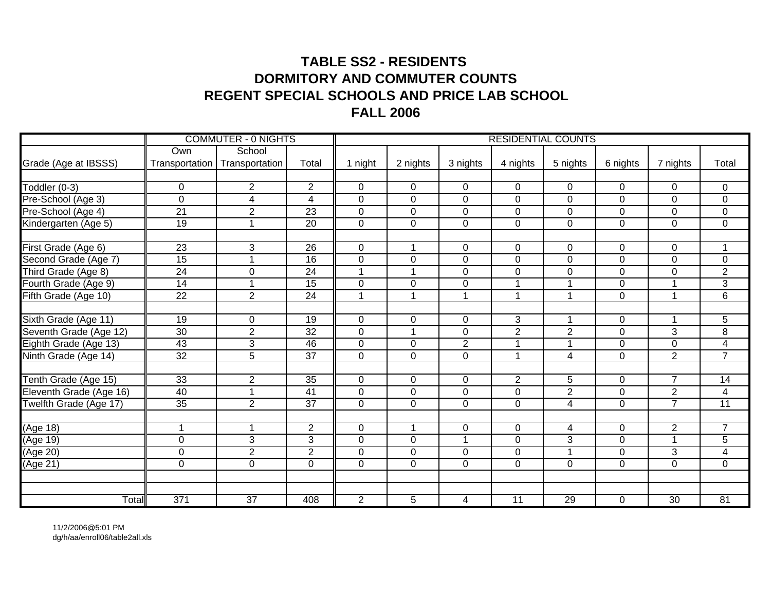# **TABLE SS2 - RESIDENTS DORMITORY AND COMMUTER COUNTSREGENT SPECIAL SCHOOLS AND PRICE LAB SCHOOLFALL 2006**

|                         |                 | <b>COMMUTER - 0 NIGHTS</b>      |                 |                |                      |                |                 | <b>RESIDENTIAL COUNTS</b> |                |                 |                          |
|-------------------------|-----------------|---------------------------------|-----------------|----------------|----------------------|----------------|-----------------|---------------------------|----------------|-----------------|--------------------------|
|                         | Own             | School                          |                 |                |                      |                |                 |                           |                |                 |                          |
| Grade (Age at IBSSS)    |                 | Transportation   Transportation | Total           | 1 night        | 2 nights             | 3 nights       | 4 nights        | 5 nights                  | 6 nights       | 7 nights        | Total                    |
|                         |                 |                                 |                 |                |                      |                |                 |                           |                |                 |                          |
| Toddler $(0-3)$         | $\overline{0}$  | $\overline{2}$                  | $\overline{2}$  | $\mathbf 0$    | $\overline{0}$       | $\overline{0}$ | $\mathbf 0$     | $\overline{0}$            | $\overline{0}$ | 0               | $\mathsf 0$              |
| Pre-School (Age 3)      | $\mathbf 0$     | 4                               | $\overline{4}$  | $\overline{0}$ | $\mathbf 0$          | $\mathbf 0$    | $\overline{0}$  | $\overline{0}$            | $\mathbf 0$    | $\mathbf 0$     | $\mathbf 0$              |
| Pre-School (Age 4)      | $\overline{21}$ | $\overline{2}$                  | $\overline{23}$ | $\overline{0}$ | $\pmb{0}$            | $\mathbf 0$    | $\overline{0}$  | $\overline{0}$            | $\mathbf 0$    | $\overline{0}$  | $\pmb{0}$                |
| Kindergarten (Age 5)    | 19              | 1                               | $\overline{20}$ | $\mathbf 0$    | $\mathsf 0$          | $\mathbf 0$    | $\mathbf 0$     | $\overline{0}$            | $\mathbf 0$    | 0               | $\mathsf 0$              |
|                         |                 |                                 |                 |                |                      |                |                 |                           |                |                 |                          |
| First Grade (Age 6)     | 23              | 3                               | 26              | $\mathbf{0}$   | $\mathbf 1$          | $\mathbf 0$    | $\mathbf 0$     | $\mathbf 0$               | $\mathbf 0$    | 0               | 1                        |
| Second Grade (Age 7)    | $\overline{15}$ | $\overline{1}$                  | 16              | $\mathbf 0$    | $\mathbf 0$          | $\mathbf 0$    | $\mathbf 0$     | $\overline{0}$            | $\mathbf 0$    | $\overline{0}$  | $\mathbf 0$              |
| Third Grade (Age 8)     | $\overline{24}$ | $\mathbf 0$                     | $\overline{24}$ | 1              | $\mathbf{1}$         | $\mathbf 0$    | $\mathbf 0$     | $\mathbf 0$               | $\mathbf 0$    | 0               | $\overline{2}$           |
| Fourth Grade (Age 9)    | 14              | $\overline{1}$                  | 15              | $\mathbf 0$    | $\mathsf 0$          | $\mathbf 0$    |                 | 1                         | $\mathbf 0$    |                 | $\overline{3}$           |
| Fifth Grade (Age 10)    | $\overline{22}$ | $\overline{2}$                  | $\overline{24}$ | 1              | $\overline{1}$       | 1              |                 | 1                         | $\mathbf 0$    | и               | $\overline{6}$           |
|                         |                 |                                 |                 |                |                      |                |                 |                           |                |                 |                          |
| Sixth Grade (Age 11)    | $\overline{19}$ | $\mathbf 0$                     | $\overline{19}$ | $\mathbf 0$    | $\mathbf 0$          | $\mathbf 0$    | $\overline{3}$  | 1                         | $\mathbf 0$    |                 | $\overline{5}$           |
| Seventh Grade (Age 12)  | 30              | $\overline{2}$                  | 32              | $\overline{0}$ | $\mathbf{1}$         | $\overline{0}$ | $\overline{2}$  | $\overline{2}$            | $\overline{0}$ | $\overline{3}$  | $\overline{8}$           |
| Eighth Grade (Age 13)   | 43              | 3                               | 46              | $\mathbf 0$    | $\mathsf 0$          | $\overline{2}$ |                 | $\mathbf{1}$              | $\mathbf 0$    | 0               | $\overline{4}$           |
| Ninth Grade (Age 14)    | 32              | $\overline{5}$                  | $\overline{37}$ | $\Omega$       | $\overline{0}$       | $\overline{0}$ | $\overline{A}$  | $\overline{4}$            | $\overline{0}$ | $\overline{2}$  | $\overline{7}$           |
|                         |                 |                                 |                 |                |                      |                |                 |                           |                |                 |                          |
| Tenth Grade (Age 15)    | 33              | $\overline{2}$                  | 35              | $\overline{0}$ | $\mathbf 0$          | $\mathbf 0$    | $\overline{2}$  | 5                         | $\mathbf 0$    | $\overline{7}$  | 14                       |
| Eleventh Grade (Age 16) | 40              | 1                               | 41              | $\overline{0}$ | $\mathbf 0$          | 0              | $\mathbf 0$     | $\overline{2}$            | $\mathbf 0$    | $\overline{2}$  | 4                        |
| Twelfth Grade (Age 17)  | $\overline{35}$ | $\overline{2}$                  | $\overline{37}$ | $\Omega$       | $\mathbf 0$          | $\mathbf 0$    | $\mathbf 0$     | $\overline{4}$            | $\mathbf 0$    | $\overline{7}$  | $\overline{11}$          |
|                         |                 |                                 |                 |                |                      |                |                 |                           |                |                 |                          |
| (Age 18)                | $\mathbf{1}$    | 1                               | $\overline{2}$  | $\mathbf 0$    | $\blacktriangleleft$ | $\mathbf 0$    | $\mathbf 0$     | $\overline{4}$            | $\mathbf 0$    | $\overline{2}$  | $\overline{7}$           |
| (Age 19)                | $\pmb{0}$       | 3                               | $\overline{3}$  | $\mathbf 0$    | $\mathbf 0$          | $\mathbf 1$    | $\mathbf 0$     | 3                         | $\mathbf 0$    | $\overline{A}$  | $\overline{5}$           |
| (Age 20)                | $\mathbf 0$     | $\overline{2}$                  | $\overline{2}$  | $\overline{0}$ | $\mathsf 0$          | 0              | $\mathbf 0$     | $\mathbf{1}$              | $\mathbf 0$    | 3               | $\overline{\mathcal{A}}$ |
| (Age 21)                | $\mathbf 0$     | $\mathbf 0$                     | $\mathbf 0$     | $\mathbf 0$    | $\mathbf 0$          | $\mathbf 0$    | $\mathbf 0$     | $\overline{0}$            | $\mathbf 0$    | 0               | $\mathbf 0$              |
|                         |                 |                                 |                 |                |                      |                |                 |                           |                |                 |                          |
|                         |                 |                                 |                 |                |                      |                |                 |                           |                |                 |                          |
| Total                   | 371             | $\overline{37}$                 | 408             | $\overline{2}$ | $\overline{5}$       | 4              | $\overline{11}$ | 29                        | $\mathbf 0$    | $\overline{30}$ | 81                       |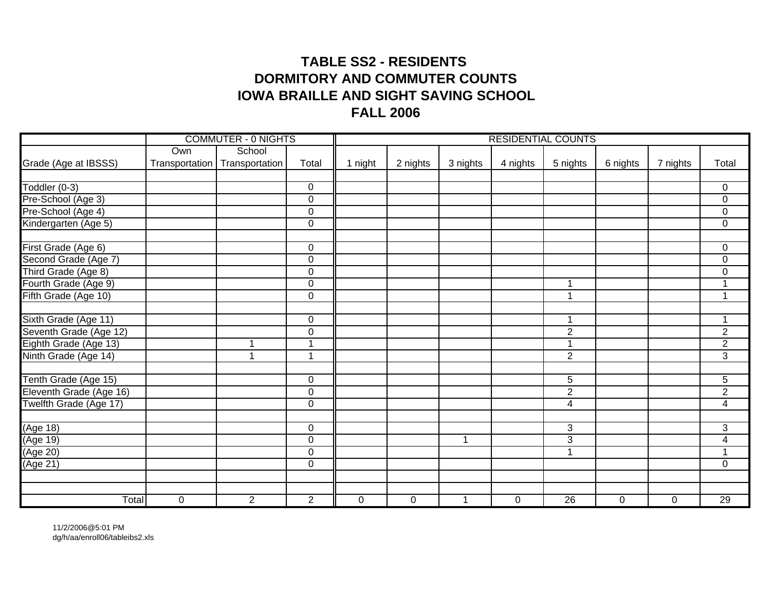## **TABLE SS2 - RESIDENTS DORMITORY AND COMMUTER COUNTS IOWA BRAILLE AND SIGHT SAVING SCHOOL FALL 2006**

|                         |             | <b>COMMUTER - 0 NIGHTS</b>      |                |             |          |              |          | <b>RESIDENTIAL COUNTS</b> |             |          |                         |
|-------------------------|-------------|---------------------------------|----------------|-------------|----------|--------------|----------|---------------------------|-------------|----------|-------------------------|
|                         | Own         | School                          |                |             |          |              |          |                           |             |          |                         |
| Grade (Age at IBSSS)    |             | Transportation   Transportation | Total          | 1 night     | 2 nights | 3 nights     | 4 nights | 5 nights                  | 6 nights    | 7 nights | Total                   |
|                         |             |                                 |                |             |          |              |          |                           |             |          |                         |
| Toddler $(0-3)$         |             |                                 | $\pmb{0}$      |             |          |              |          |                           |             |          | $\mathbf 0$             |
| Pre-School (Age 3)      |             |                                 | $\mathbf 0$    |             |          |              |          |                           |             |          | $\mathbf 0$             |
| Pre-School (Age 4)      |             |                                 | $\pmb{0}$      |             |          |              |          |                           |             |          | $\boldsymbol{0}$        |
| Kindergarten (Age 5)    |             |                                 | $\mathbf 0$    |             |          |              |          |                           |             |          | 0                       |
|                         |             |                                 |                |             |          |              |          |                           |             |          |                         |
| First Grade (Age 6)     |             |                                 | $\pmb{0}$      |             |          |              |          |                           |             |          | $\mathbf 0$             |
| Second Grade (Age 7)    |             |                                 | $\mathbf 0$    |             |          |              |          |                           |             |          | $\pmb{0}$               |
| Third Grade (Age 8)     |             |                                 | $\pmb{0}$      |             |          |              |          |                           |             |          | $\boldsymbol{0}$        |
| Fourth Grade (Age 9)    |             |                                 | $\mathbf 0$    |             |          |              |          | 1                         |             |          | 1                       |
| Fifth Grade (Age 10)    |             |                                 | $\mathbf 0$    |             |          |              |          | 1                         |             |          | 4                       |
|                         |             |                                 |                |             |          |              |          |                           |             |          |                         |
| Sixth Grade (Age 11)    |             |                                 | 0              |             |          |              |          | 1                         |             |          | 1                       |
| Seventh Grade (Age 12)  |             |                                 | $\pmb{0}$      |             |          |              |          | $\overline{2}$            |             |          | $\overline{2}$          |
| Eighth Grade (Age 13)   |             | 1                               |                |             |          |              |          | 1                         |             |          | $\overline{2}$          |
| Ninth Grade (Age 14)    |             | $\overline{ }$                  | $\overline{ }$ |             |          |              |          | $\overline{2}$            |             |          | 3                       |
|                         |             |                                 |                |             |          |              |          |                           |             |          |                         |
| Tenth Grade (Age 15)    |             |                                 | 0              |             |          |              |          | 5                         |             |          | 5                       |
| Eleventh Grade (Age 16) |             |                                 | $\mathbf 0$    |             |          |              |          | $\overline{2}$            |             |          | $\overline{2}$          |
| Twelfth Grade (Age 17)  |             |                                 | $\mathbf 0$    |             |          |              |          | $\overline{4}$            |             |          | $\overline{4}$          |
|                         |             |                                 |                |             |          |              |          |                           |             |          |                         |
| (Age 18)                |             |                                 | $\mathbf 0$    |             |          |              |          | 3                         |             |          | 3                       |
| (Age 19)                |             |                                 | $\mathbf 0$    |             |          | $\mathbf{1}$ |          | 3                         |             |          | 4                       |
| (Age 20)                |             |                                 | $\pmb{0}$      |             |          |              |          | $\mathbf{1}$              |             |          | $\overline{\mathbf{A}}$ |
| (Age 21)                |             |                                 | $\mathbf 0$    |             |          |              |          |                           |             |          | $\mathbf 0$             |
|                         |             |                                 |                |             |          |              |          |                           |             |          |                         |
| Total                   | $\mathbf 0$ | $\overline{2}$                  | $\overline{2}$ | $\mathbf 0$ | 0        | $\mathbf{1}$ | 0        | $\overline{26}$           | $\mathbf 0$ | 0        | $\overline{29}$         |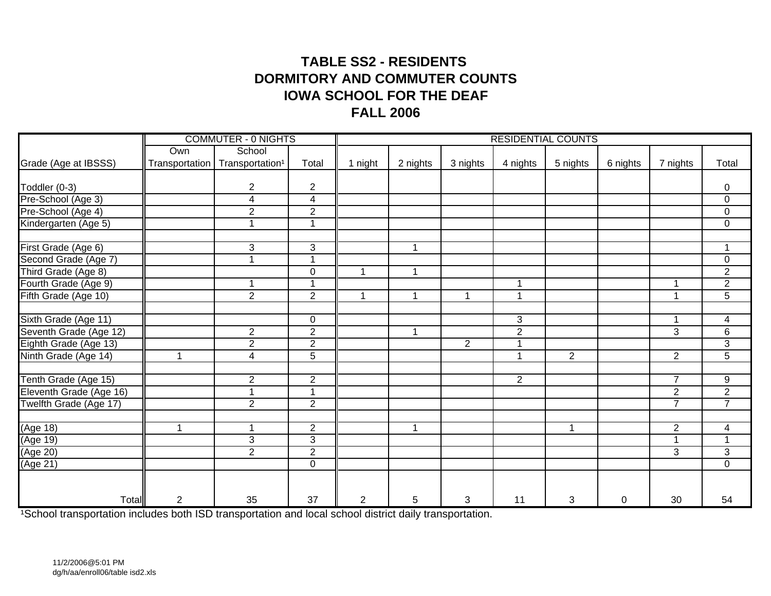# **TABLE SS2 - RESIDENTS IOWA SCHOOL FOR THE DEAFFALL 2006DORMITORY AND COMMUTER COUNTS**

|                         |                | <b>COMMUTER - 0 NIGHTS</b>                   |                      |                      |                |                |                         | <b>RESIDENTIAL COUNTS</b> |             |                |                |
|-------------------------|----------------|----------------------------------------------|----------------------|----------------------|----------------|----------------|-------------------------|---------------------------|-------------|----------------|----------------|
|                         | Own            | School                                       |                      |                      |                |                |                         |                           |             |                |                |
| Grade (Age at IBSSS)    |                | Transportation   Transportation <sup>1</sup> | Total                | 1 night              | 2 nights       | 3 nights       | 4 nights                | 5 nights                  | 6 nights    | 7 nights       | Total          |
| Toddler (0-3)           |                | $\overline{2}$                               | $\overline{2}$       |                      |                |                |                         |                           |             |                | 0              |
| Pre-School (Age 3)      |                | $\overline{4}$                               | 4                    |                      |                |                |                         |                           |             |                | $\Omega$       |
| Pre-School (Age 4)      |                | $\overline{2}$                               | $\overline{2}$       |                      |                |                |                         |                           |             |                | $\mathbf 0$    |
| Kindergarten (Age 5)    |                | $\overline{ }$                               | $\blacktriangleleft$ |                      |                |                |                         |                           |             |                | $\overline{0}$ |
| First Grade (Age 6)     |                | 3                                            | 3                    |                      | 1              |                |                         |                           |             |                | 1              |
| Second Grade (Age 7)    |                | $\overline{ }$                               | $\overline{A}$       |                      |                |                |                         |                           |             |                | $\mathbf 0$    |
| Third Grade (Age 8)     |                |                                              | $\mathbf 0$          | $\blacktriangleleft$ | $\mathbf{1}$   |                |                         |                           |             |                | $\overline{2}$ |
| Fourth Grade (Age 9)    |                | -1                                           | $\overline{1}$       |                      |                |                | -1                      |                           |             | -1             | $\overline{2}$ |
| Fifth Grade (Age 10)    |                | $\overline{2}$                               | $\overline{2}$       | 1                    | $\mathbf{1}$   | $\mathbf{1}$   | $\overline{ }$          |                           |             | $\overline{1}$ | $\overline{5}$ |
| Sixth Grade (Age 11)    |                |                                              | $\mathbf 0$          |                      |                |                | 3                       |                           |             | 1              | 4              |
| Seventh Grade (Age 12)  |                | $\overline{2}$                               | $\overline{2}$       |                      | $\overline{1}$ |                | $\overline{2}$          |                           |             | $\overline{3}$ | $\overline{6}$ |
| Eighth Grade (Age 13)   |                | $\overline{2}$                               | $\overline{2}$       |                      |                | $\overline{2}$ |                         |                           |             |                | $\overline{3}$ |
| Ninth Grade (Age 14)    | $\mathbf 1$    | $\overline{4}$                               | $\overline{5}$       |                      |                |                | $\overline{\mathbf{A}}$ | $\overline{2}$            |             | $\overline{2}$ | $\overline{5}$ |
| Tenth Grade (Age 15)    |                | $\overline{2}$                               | $\overline{2}$       |                      |                |                | $\overline{2}$          |                           |             | $\overline{7}$ | 9              |
| Eleventh Grade (Age 16) |                | $\overline{ }$                               | $\overline{1}$       |                      |                |                |                         |                           |             | $\overline{2}$ | $\overline{2}$ |
| Twelfth Grade (Age 17)  |                | $\overline{2}$                               | $\overline{2}$       |                      |                |                |                         |                           |             | $\overline{7}$ | $\overline{7}$ |
| (Age 18)                | $\mathbf{1}$   | $\overline{1}$                               | $\overline{2}$       |                      | $\mathbf{1}$   |                |                         | 1                         |             | $\overline{2}$ | $\overline{4}$ |
| (Age 19)                |                | $\mathbf{3}$                                 | $\overline{3}$       |                      |                |                |                         |                           |             | 1              | 1              |
| (Age 20)                |                | $\overline{2}$                               | $\overline{2}$       |                      |                |                |                         |                           |             | $\overline{3}$ | $\overline{3}$ |
| (Age 21)                |                |                                              | $\mathbf 0$          |                      |                |                |                         |                           |             |                | $\mathbf 0$    |
|                         |                |                                              |                      |                      |                |                |                         |                           |             |                |                |
| Total                   | $\overline{2}$ | 35                                           | 37                   | $\overline{2}$       | 5              | 3              | 11                      | 3                         | $\mathbf 0$ | 30             | 54             |

<sup>1</sup>School transportation includes both ISD transportation and local school district daily transportation.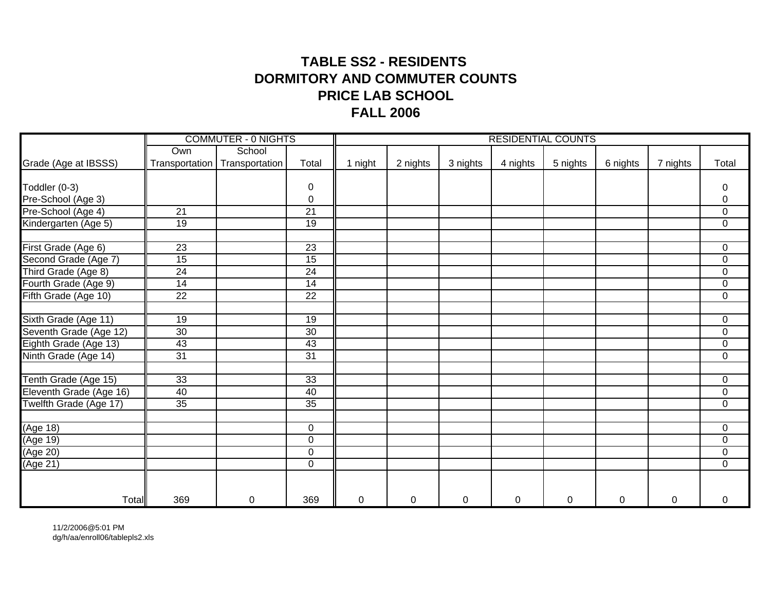## **TABLE SS2 - RESIDENTS DORMITORY AND COMMUTER COUNTSPRICE LAB SCHOOLFALL 2006**

|                         |                 | <b>COMMUTER - 0 NIGHTS</b> |                          |         |          |             | <b>RESIDENTIAL COUNTS</b> |          |             |          |                  |
|-------------------------|-----------------|----------------------------|--------------------------|---------|----------|-------------|---------------------------|----------|-------------|----------|------------------|
|                         | Own             | School                     |                          |         |          |             |                           |          |             |          |                  |
| Grade (Age at IBSSS)    | Transportation  | Transportation             | Total                    | 1 night | 2 nights | 3 nights    | 4 nights                  | 5 nights | 6 nights    | 7 nights | Total            |
| Toddler (0-3)           |                 |                            | $\mathbf 0$              |         |          |             |                           |          |             |          | 0                |
| Pre-School (Age 3)      |                 |                            | 0                        |         |          |             |                           |          |             |          | 0                |
| Pre-School (Age 4)      | 21              |                            | $\overline{21}$          |         |          |             |                           |          |             |          | $\mathbf 0$      |
| Kindergarten (Age 5)    | $\overline{19}$ |                            | 19                       |         |          |             |                           |          |             |          | $\mathbf 0$      |
| First Grade (Age 6)     | 23              |                            | $\overline{23}$          |         |          |             |                           |          |             |          | 0                |
| Second Grade (Age 7)    | 15              |                            | 15                       |         |          |             |                           |          |             |          | $\boldsymbol{0}$ |
| Third Grade (Age 8)     | $\overline{24}$ |                            | 24                       |         |          |             |                           |          |             |          | $\mathbf 0$      |
| Fourth Grade (Age 9)    | $\overline{14}$ |                            | 14                       |         |          |             |                           |          |             |          | $\mathbf 0$      |
| Fifth Grade (Age 10)    | $\overline{22}$ |                            | $\overline{22}$          |         |          |             |                           |          |             |          | $\overline{0}$   |
|                         |                 |                            |                          |         |          |             |                           |          |             |          |                  |
| Sixth Grade (Age 11)    | 19              |                            | 19                       |         |          |             |                           |          |             |          | 0                |
| Seventh Grade (Age 12)  | 30              |                            | 30                       |         |          |             |                           |          |             |          | 0                |
| Eighth Grade (Age 13)   | 43              |                            | 43                       |         |          |             |                           |          |             |          | 0                |
| Ninth Grade (Age 14)    | 31              |                            | 31                       |         |          |             |                           |          |             |          | $\overline{0}$   |
| Tenth Grade (Age 15)    | 33              |                            | 33                       |         |          |             |                           |          |             |          | $\mathbf 0$      |
| Eleventh Grade (Age 16) | 40              |                            | 40                       |         |          |             |                           |          |             |          | $\mathbf 0$      |
| Twelfth Grade (Age 17)  | $\overline{35}$ |                            | 35                       |         |          |             |                           |          |             |          | $\mathbf 0$      |
|                         |                 |                            |                          |         |          |             |                           |          |             |          |                  |
| (Age 18)                |                 |                            | $\mathbf 0$<br>$\pmb{0}$ |         |          |             |                           |          |             |          | 0<br>0           |
| (Age 19)                |                 |                            | $\mathbf 0$              |         |          |             |                           |          |             |          | 0                |
| (Age 20)                |                 |                            | $\mathbf 0$              |         |          |             |                           |          |             |          | $\mathbf 0$      |
| (Age 21)                |                 |                            |                          |         |          |             |                           |          |             |          |                  |
| Total                   | 369             | $\mathbf 0$                | 369                      | 0       | 0        | $\mathbf 0$ | $\mathbf 0$               | 0        | $\mathbf 0$ | 0        | 0                |

11/2/2006@5:01 PMdg/h/aa/enroll06/tablepls2.xls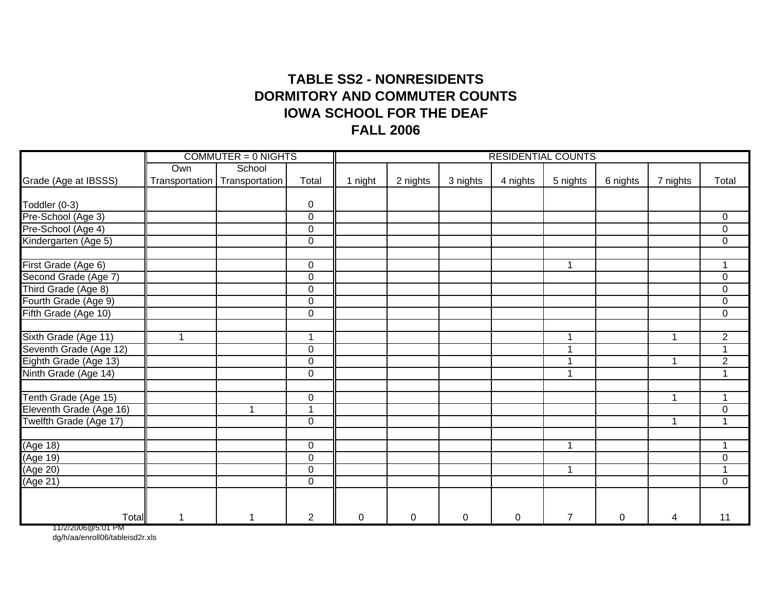# **TABLE SS2 - NONRESIDENTSDORMITORY AND COMMUTER COUNTS IOWA SCHOOL FOR THE DEAFFALL 2006**

|                                                 |                | $COMMUTER = 0$ NIGHTS |                |         |          |             |          | <b>RESIDENTIAL COUNTS</b> |                  |          |                |
|-------------------------------------------------|----------------|-----------------------|----------------|---------|----------|-------------|----------|---------------------------|------------------|----------|----------------|
|                                                 | Own            | School                |                |         |          |             |          |                           |                  |          |                |
| Grade (Age at IBSSS)                            | Transportation | Transportation        | Total          | 1 night | 2 nights | 3 nights    | 4 nights | 5 nights                  | 6 nights         | 7 nights | Total          |
|                                                 |                |                       |                |         |          |             |          |                           |                  |          |                |
| Toddler (0-3)                                   |                |                       | $\pmb{0}$      |         |          |             |          |                           |                  |          |                |
| Pre-School (Age 3)                              |                |                       | 0              |         |          |             |          |                           |                  |          | 0              |
| Pre-School (Age 4)                              |                |                       | 0              |         |          |             |          |                           |                  |          | $\pmb{0}$      |
| Kindergarten (Age 5)                            |                |                       | 0              |         |          |             |          |                           |                  |          | $\mathbf 0$    |
| First Grade (Age 6)                             |                |                       | $\mathbf 0$    |         |          |             |          | $\mathbf{1}$              |                  |          | $\overline{1}$ |
| Second Grade (Age 7)                            |                |                       | 0              |         |          |             |          |                           |                  |          | $\mathsf 0$    |
| Third Grade (Age 8)                             |                |                       | 0              |         |          |             |          |                           |                  |          | $\mathsf 0$    |
| Fourth Grade (Age 9)                            |                |                       | 0              |         |          |             |          |                           |                  |          | $\mathsf 0$    |
| Fifth Grade (Age 10)                            |                |                       | $\overline{0}$ |         |          |             |          |                           |                  |          | $\mathbf 0$    |
|                                                 |                |                       |                |         |          |             |          |                           |                  |          |                |
| Sixth Grade (Age 11)                            | -1             |                       | 1              |         |          |             |          | 1                         |                  | 1        | $\mathbf{2}$   |
| Seventh Grade (Age 12)<br>Eighth Grade (Age 13) |                |                       | $\overline{0}$ |         |          |             |          | 1                         |                  |          | 1              |
|                                                 |                |                       | 0              |         |          |             |          | 1                         |                  | 1        | $\overline{2}$ |
| Ninth Grade (Age 14)                            |                |                       | $\mathbf 0$    |         |          |             |          | $\mathbf 1$               |                  |          | $\overline{1}$ |
| Tenth Grade (Age 15)                            |                |                       | 0              |         |          |             |          |                           |                  |          | 1              |
| Eleventh Grade (Age 16)                         |                | 1                     | 1              |         |          |             |          |                           |                  |          | $\mathbf 0$    |
| Twelfth Grade (Age 17)                          |                |                       | $\mathbf 0$    |         |          |             |          |                           |                  | -1       | 1              |
|                                                 |                |                       |                |         |          |             |          |                           |                  |          |                |
| (Age 18)                                        |                |                       | 0              |         |          |             |          | $\overline{ }$            |                  |          | 1              |
| (Age 19)                                        |                |                       | 0              |         |          |             |          |                           |                  |          | $\pmb{0}$      |
| (Age 20)                                        |                |                       | 0              |         |          |             |          | 1                         |                  |          | -1             |
| (Age 21)                                        |                |                       | $\overline{0}$ |         |          |             |          |                           |                  |          | $\mathbf 0$    |
|                                                 |                |                       |                |         |          |             |          |                           |                  |          |                |
| Total                                           |                |                       | $\overline{2}$ | 0       | 0        | $\mathbf 0$ | 0        | $\overline{7}$            | $\boldsymbol{0}$ | 4        | 11             |

11/2/2006@5:01 PM dg/h/aa/enroll06/tableisd2r.xls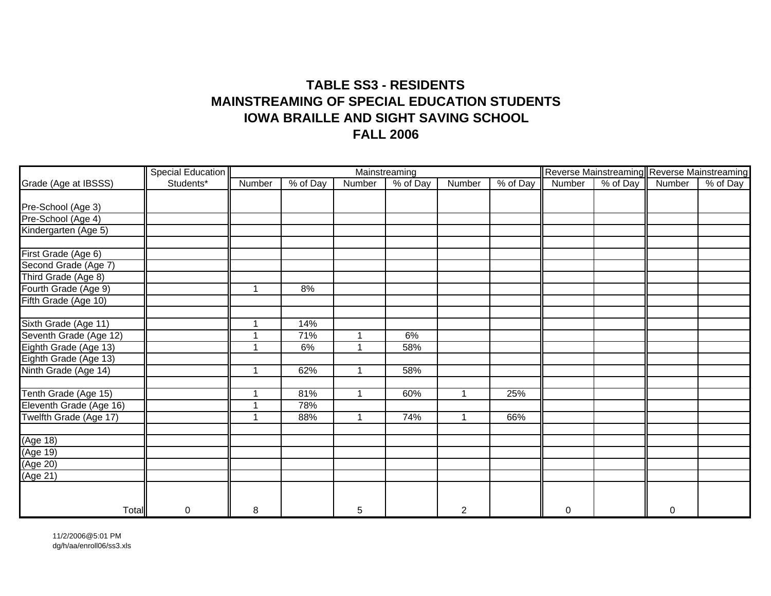## **TABLE SS3 - RESIDENTSMAINSTREAMING OF SPECIAL EDUCATION STUDENTSIOWA BRAILLE AND SIGHT SAVING SCHOOL FALL 2006**

|                         | <b>Special Education</b> |                         |                        |              | Mainstreaming |                |          |             |          | Reverse Mainstreaming Reverse Mainstreaming |                             |
|-------------------------|--------------------------|-------------------------|------------------------|--------------|---------------|----------------|----------|-------------|----------|---------------------------------------------|-----------------------------|
| Grade (Age at IBSSS)    | Students*                | Number                  | $\overline{\%}$ of Day | Number       | % of Day      | Number         | % of Day | Number      | % of Day | Number                                      | $\sqrt{\frac{6}{9}}$ of Day |
|                         |                          |                         |                        |              |               |                |          |             |          |                                             |                             |
| Pre-School (Age 3)      |                          |                         |                        |              |               |                |          |             |          |                                             |                             |
| Pre-School (Age 4)      |                          |                         |                        |              |               |                |          |             |          |                                             |                             |
| Kindergarten (Age 5)    |                          |                         |                        |              |               |                |          |             |          |                                             |                             |
| First Grade (Age 6)     |                          |                         |                        |              |               |                |          |             |          |                                             |                             |
| Second Grade (Age 7)    |                          |                         |                        |              |               |                |          |             |          |                                             |                             |
| Third Grade (Age 8)     |                          |                         |                        |              |               |                |          |             |          |                                             |                             |
| Fourth Grade (Age 9)    |                          |                         | 8%                     |              |               |                |          |             |          |                                             |                             |
| Fifth Grade (Age 10)    |                          |                         |                        |              |               |                |          |             |          |                                             |                             |
|                         |                          |                         |                        |              |               |                |          |             |          |                                             |                             |
| Sixth Grade (Age 11)    |                          |                         | 14%                    |              |               |                |          |             |          |                                             |                             |
| Seventh Grade (Age 12)  |                          |                         | 71%                    | 1            | 6%            |                |          |             |          |                                             |                             |
| Eighth Grade (Age 13)   |                          | $\overline{\mathbf{A}}$ | 6%                     | -1           | 58%           |                |          |             |          |                                             |                             |
| Eighth Grade (Age 13)   |                          |                         |                        |              |               |                |          |             |          |                                             |                             |
| Ninth Grade (Age 14)    |                          | $\blacktriangleleft$    | 62%                    | $\mathbf{1}$ | 58%           |                |          |             |          |                                             |                             |
|                         |                          |                         |                        |              |               |                |          |             |          |                                             |                             |
| Tenth Grade (Age 15)    |                          | $\blacktriangleleft$    | 81%                    | $\mathbf{1}$ | 60%           | $\overline{1}$ | 25%      |             |          |                                             |                             |
| Eleventh Grade (Age 16) |                          | $\blacktriangleleft$    | 78%                    |              |               |                |          |             |          |                                             |                             |
| Twelfth Grade (Age 17)  |                          | -1                      | 88%                    | 1            | 74%           |                | 66%      |             |          |                                             |                             |
| (Age 18)                |                          |                         |                        |              |               |                |          |             |          |                                             |                             |
| (Age 19)                |                          |                         |                        |              |               |                |          |             |          |                                             |                             |
| (Age 20)                |                          |                         |                        |              |               |                |          |             |          |                                             |                             |
| (Age 21)                |                          |                         |                        |              |               |                |          |             |          |                                             |                             |
|                         |                          |                         |                        |              |               |                |          |             |          |                                             |                             |
|                         |                          |                         |                        |              |               |                |          |             |          |                                             |                             |
| Total                   | 0                        | 8                       |                        | 5            |               | $\overline{2}$ |          | $\mathbf 0$ |          | $\mathbf 0$                                 |                             |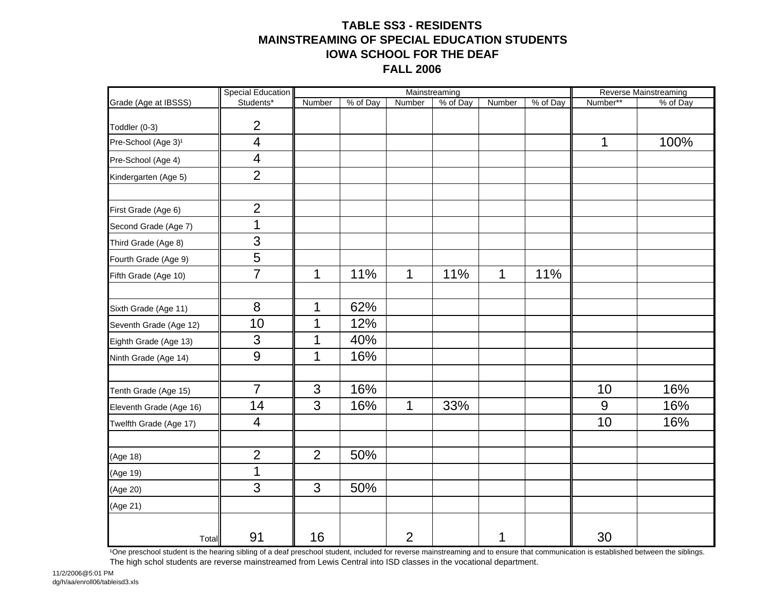### **TABLE SS3 - RESIDENTSMAINSTREAMING OF SPECIAL EDUCATION STUDENTSIOWA SCHOOL FOR THE DEAFFALL 2006**

|                                 | <b>Special Education</b> |                |          |                | Mainstreaming |              |          |          | <b>Reverse Mainstreaming</b> |
|---------------------------------|--------------------------|----------------|----------|----------------|---------------|--------------|----------|----------|------------------------------|
| Grade (Age at IBSSS)            | Students*                | Number         | % of Day | Number         | % of Day      | Number       | % of Day | Number** | % of Day                     |
|                                 |                          |                |          |                |               |              |          |          |                              |
| Toddler (0-3)                   | $\overline{2}$           |                |          |                |               |              |          |          |                              |
| Pre-School (Age 3) <sup>1</sup> | $\overline{\mathbf{4}}$  |                |          |                |               |              |          | 1        | 100%                         |
| Pre-School (Age 4)              | $\overline{\mathbf{4}}$  |                |          |                |               |              |          |          |                              |
| Kindergarten (Age 5)            | $\overline{2}$           |                |          |                |               |              |          |          |                              |
| First Grade (Age 6)             | $\overline{2}$           |                |          |                |               |              |          |          |                              |
| Second Grade (Age 7)            | 1                        |                |          |                |               |              |          |          |                              |
| Third Grade (Age 8)             | 3                        |                |          |                |               |              |          |          |                              |
| Fourth Grade (Age 9)            | 5                        |                |          |                |               |              |          |          |                              |
| Fifth Grade (Age 10)            | $\overline{7}$           | 1              | 11%      | $\mathbf 1$    | 11%           | $\mathbf{1}$ | 11%      |          |                              |
| Sixth Grade (Age 11)            | 8                        | 1              | 62%      |                |               |              |          |          |                              |
| Seventh Grade (Age 12)          | 10                       | 1              | 12%      |                |               |              |          |          |                              |
| Eighth Grade (Age 13)           | 3                        | 1              | 40%      |                |               |              |          |          |                              |
| Ninth Grade (Age 14)            | $\boldsymbol{9}$         | 1              | 16%      |                |               |              |          |          |                              |
| Tenth Grade (Age 15)            | $\overline{7}$           | 3              | 16%      |                |               |              |          | 10       | 16%                          |
| Eleventh Grade (Age 16)         | 14                       | 3              | 16%      | 1              | 33%           |              |          | 9        | 16%                          |
| Twelfth Grade (Age 17)          | $\overline{\mathbf{4}}$  |                |          |                |               |              |          | 10       | 16%                          |
|                                 |                          |                |          |                |               |              |          |          |                              |
| (Age 18)                        | $\overline{2}$           | $\overline{2}$ | 50%      |                |               |              |          |          |                              |
| (Age 19)                        | 1                        |                |          |                |               |              |          |          |                              |
| (Age 20)                        | 3                        | 3              | 50%      |                |               |              |          |          |                              |
| (Age 21)                        |                          |                |          |                |               |              |          |          |                              |
| Total                           | 91                       | 16             |          | $\overline{2}$ |               | 1            |          | 30       |                              |

<sup>1</sup>One preschool student is the hearing sibling of a deaf preschool student, included for reverse mainstreaming and to ensure that communication is established between the siblings. The high schol students are reverse mainstreamed from Lewis Central into ISD classes in the vocational department.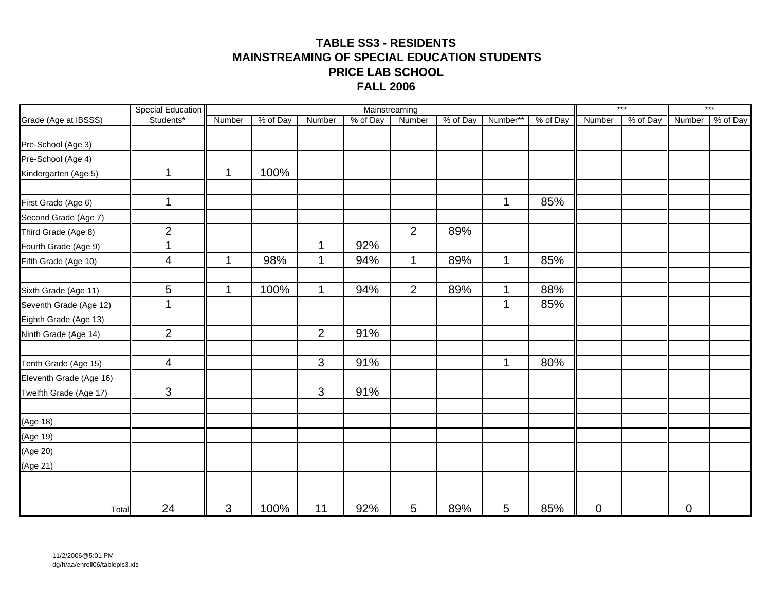### **TABLE SS3 - RESIDENTSMAINSTREAMING OF SPECIAL EDUCATION STUDENTSPRICE LAB SCHOOLFALL 2006**

|                         | Special Education |              |          |              |          | Mainstreaming  |          |             |          |             | $***$    |             | $***$    |
|-------------------------|-------------------|--------------|----------|--------------|----------|----------------|----------|-------------|----------|-------------|----------|-------------|----------|
| Grade (Age at IBSSS)    | Students*         | Number       | % of Day | Number       | % of Day | Number         | % of Day | Number**    | % of Day | Number      | % of Day | Number      | % of Day |
|                         |                   |              |          |              |          |                |          |             |          |             |          |             |          |
| Pre-School (Age 3)      |                   |              |          |              |          |                |          |             |          |             |          |             |          |
| Pre-School (Age 4)      |                   |              |          |              |          |                |          |             |          |             |          |             |          |
| Kindergarten (Age 5)    | 1                 | $\mathbf{1}$ | 100%     |              |          |                |          |             |          |             |          |             |          |
|                         |                   |              |          |              |          |                |          |             |          |             |          |             |          |
| First Grade (Age 6)     | $\mathbf{1}$      |              |          |              |          |                |          | 1           | 85%      |             |          |             |          |
| Second Grade (Age 7)    |                   |              |          |              |          |                |          |             |          |             |          |             |          |
| Third Grade (Age 8)     | $\overline{2}$    |              |          |              |          | $\overline{2}$ | 89%      |             |          |             |          |             |          |
| Fourth Grade (Age 9)    | 1                 |              |          | 1            | 92%      |                |          |             |          |             |          |             |          |
| Fifth Grade (Age 10)    | 4                 | 1            | 98%      | 1            | 94%      | $\mathbf 1$    | 89%      | 1           | 85%      |             |          |             |          |
|                         |                   |              |          |              |          |                |          |             |          |             |          |             |          |
| Sixth Grade (Age 11)    | 5                 | $\mathbf{1}$ | 100%     | $\mathbf 1$  | 94%      | $\overline{2}$ | 89%      | 1           | 88%      |             |          |             |          |
| Seventh Grade (Age 12)  | 1                 |              |          |              |          |                |          | $\mathbf 1$ | 85%      |             |          |             |          |
| Eighth Grade (Age 13)   |                   |              |          |              |          |                |          |             |          |             |          |             |          |
| Ninth Grade (Age 14)    | $\overline{2}$    |              |          | 2            | 91%      |                |          |             |          |             |          |             |          |
|                         |                   |              |          |              |          |                |          |             |          |             |          |             |          |
| Tenth Grade (Age 15)    | 4                 |              |          | 3            | 91%      |                |          | 1           | 80%      |             |          |             |          |
| Eleventh Grade (Age 16) |                   |              |          |              |          |                |          |             |          |             |          |             |          |
| Twelfth Grade (Age 17)  | 3                 |              |          | $\mathbf{3}$ | 91%      |                |          |             |          |             |          |             |          |
|                         |                   |              |          |              |          |                |          |             |          |             |          |             |          |
| (Age 18)                |                   |              |          |              |          |                |          |             |          |             |          |             |          |
| (Age 19)                |                   |              |          |              |          |                |          |             |          |             |          |             |          |
| (Age 20)                |                   |              |          |              |          |                |          |             |          |             |          |             |          |
| (Age 21)                |                   |              |          |              |          |                |          |             |          |             |          |             |          |
|                         |                   |              |          |              |          |                |          |             |          |             |          |             |          |
|                         |                   |              |          |              |          |                |          |             |          |             |          |             |          |
| Total                   | 24                | 3            | 100%     | 11           | 92%      | 5              | 89%      | 5           | 85%      | $\mathbf 0$ |          | $\mathbf 0$ |          |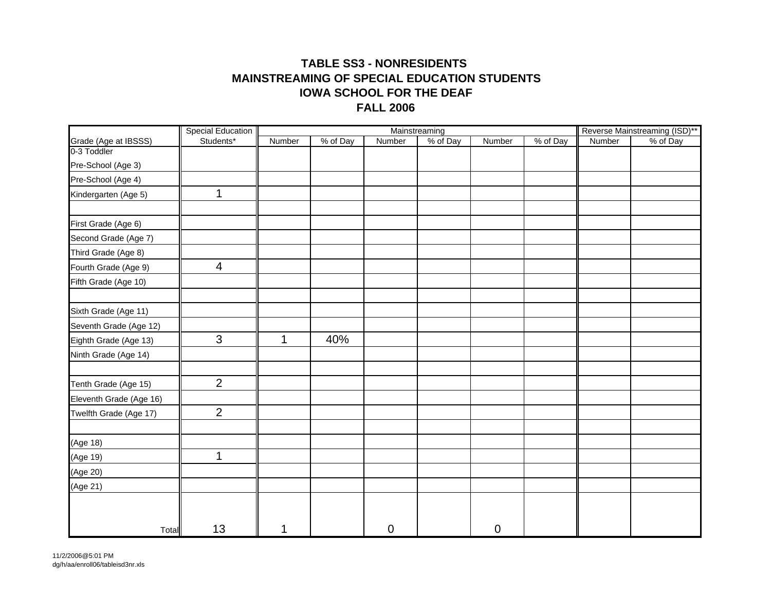### **TABLE SS3 - NONRESIDENTS MAINSTREAMING OF SPECIAL EDUCATION STUDENTS FALL 2006 IOWA SCHOOL FOR THE DEAF**

|                         | Special Education |              |          |        | Reverse Mainstreaming (ISD)** |             |          |        |          |
|-------------------------|-------------------|--------------|----------|--------|-------------------------------|-------------|----------|--------|----------|
| Grade (Age at IBSSS)    | Students*         | Number       | % of Day | Number | Mainstreaming<br>% of Day     | Number      | % of Day | Number | % of Day |
| 0-3 Toddler             |                   |              |          |        |                               |             |          |        |          |
| Pre-School (Age 3)      |                   |              |          |        |                               |             |          |        |          |
| Pre-School (Age 4)      |                   |              |          |        |                               |             |          |        |          |
| Kindergarten (Age 5)    | $\mathbf{1}$      |              |          |        |                               |             |          |        |          |
|                         |                   |              |          |        |                               |             |          |        |          |
| First Grade (Age 6)     |                   |              |          |        |                               |             |          |        |          |
| Second Grade (Age 7)    |                   |              |          |        |                               |             |          |        |          |
| Third Grade (Age 8)     |                   |              |          |        |                               |             |          |        |          |
| Fourth Grade (Age 9)    | $\overline{4}$    |              |          |        |                               |             |          |        |          |
| Fifth Grade (Age 10)    |                   |              |          |        |                               |             |          |        |          |
|                         |                   |              |          |        |                               |             |          |        |          |
| Sixth Grade (Age 11)    |                   |              |          |        |                               |             |          |        |          |
| Seventh Grade (Age 12)  |                   |              |          |        |                               |             |          |        |          |
| Eighth Grade (Age 13)   | $\overline{3}$    | $\mathbf{1}$ | 40%      |        |                               |             |          |        |          |
| Ninth Grade (Age 14)    |                   |              |          |        |                               |             |          |        |          |
| Tenth Grade (Age 15)    | $\overline{2}$    |              |          |        |                               |             |          |        |          |
| Eleventh Grade (Age 16) |                   |              |          |        |                               |             |          |        |          |
| Twelfth Grade (Age 17)  | $\overline{2}$    |              |          |        |                               |             |          |        |          |
|                         |                   |              |          |        |                               |             |          |        |          |
| (Age 18)                |                   |              |          |        |                               |             |          |        |          |
| (Age 19)                | $\mathbf{1}$      |              |          |        |                               |             |          |        |          |
| (Age 20)                |                   |              |          |        |                               |             |          |        |          |
| (Age 21)                |                   |              |          |        |                               |             |          |        |          |
| Total                   | 13                | 1            |          | 0      |                               | $\mathbf 0$ |          |        |          |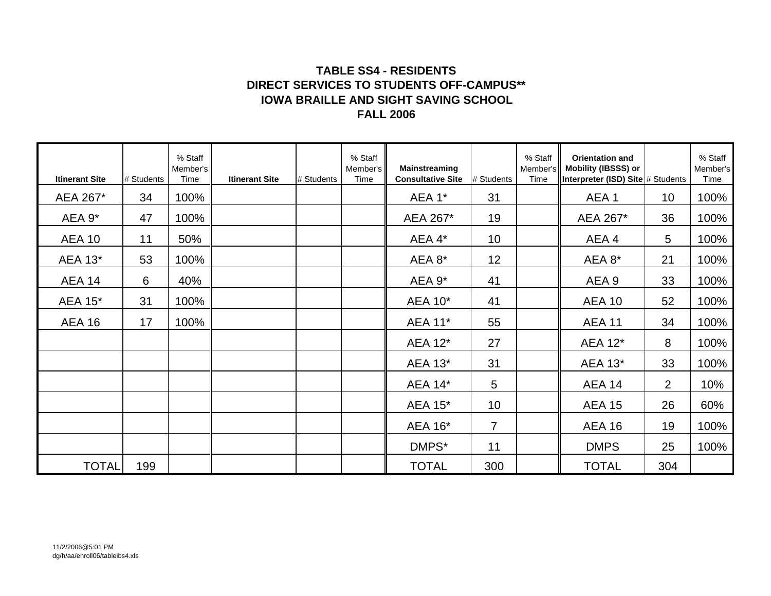### **TABLE SS4 - RESIDENTSDIRECT SERVICES TO STUDENTS OFF-CAMPUS\*\*FALL 2006IOWA BRAILLE AND SIGHT SAVING SCHOOL**

| <b>Itinerant Site</b> | # Students | % Staff<br>Member's<br>Time | <b>Itinerant Site</b> | # Students | % Staff<br>Member's<br>Time | Mainstreaming<br><b>Consultative Site</b> | # Students     | % Staff<br>Member's<br>Time | <b>Orientation and</b><br>Mobility (IBSSS) or<br>Interpreter (ISD) Site # Students |                | % Staff<br>Member's<br>Time |
|-----------------------|------------|-----------------------------|-----------------------|------------|-----------------------------|-------------------------------------------|----------------|-----------------------------|------------------------------------------------------------------------------------|----------------|-----------------------------|
| AEA 267*              | 34         | 100%                        |                       |            |                             | AEA 1*                                    | 31             |                             | AEA 1                                                                              | 10             | 100%                        |
| AEA 9*                | 47         | 100%                        |                       |            |                             | AEA 267*                                  | 19             |                             | AEA 267*                                                                           | 36             | 100%                        |
| <b>AEA 10</b>         | 11         | 50%                         |                       |            |                             | AEA 4*                                    | 10             |                             | AEA 4                                                                              | 5              | 100%                        |
| <b>AEA 13*</b>        | 53         | 100%                        |                       |            |                             | AEA 8*                                    | 12             |                             | AEA 8*                                                                             | 21             | 100%                        |
| <b>AEA 14</b>         | 6          | 40%                         |                       |            |                             | AEA 9*                                    | 41             |                             | AEA 9                                                                              | 33             | 100%                        |
| <b>AEA 15*</b>        | 31         | 100%                        |                       |            |                             | <b>AEA 10*</b>                            | 41             |                             | <b>AEA 10</b>                                                                      | 52             | 100%                        |
| <b>AEA 16</b>         | 17         | 100%                        |                       |            |                             | <b>AEA 11*</b>                            | 55             |                             | <b>AEA 11</b>                                                                      | 34             | 100%                        |
|                       |            |                             |                       |            |                             | <b>AEA 12*</b>                            | 27             |                             | <b>AEA 12*</b>                                                                     | 8              | 100%                        |
|                       |            |                             |                       |            |                             | <b>AEA 13*</b>                            | 31             |                             | <b>AEA 13*</b>                                                                     | 33             | 100%                        |
|                       |            |                             |                       |            |                             | <b>AEA 14*</b>                            | 5              |                             | <b>AEA 14</b>                                                                      | $\overline{2}$ | 10%                         |
|                       |            |                             |                       |            |                             | <b>AEA 15*</b>                            | 10             |                             | <b>AEA 15</b>                                                                      | 26             | 60%                         |
|                       |            |                             |                       |            |                             | <b>AEA 16*</b>                            | $\overline{7}$ |                             | <b>AEA 16</b>                                                                      | 19             | 100%                        |
|                       |            |                             |                       |            |                             | DMPS*                                     | 11             |                             | <b>DMPS</b>                                                                        | 25             | 100%                        |
| <b>TOTAL</b>          | 199        |                             |                       |            |                             | <b>TOTAL</b>                              | 300            |                             | <b>TOTAL</b>                                                                       | 304            |                             |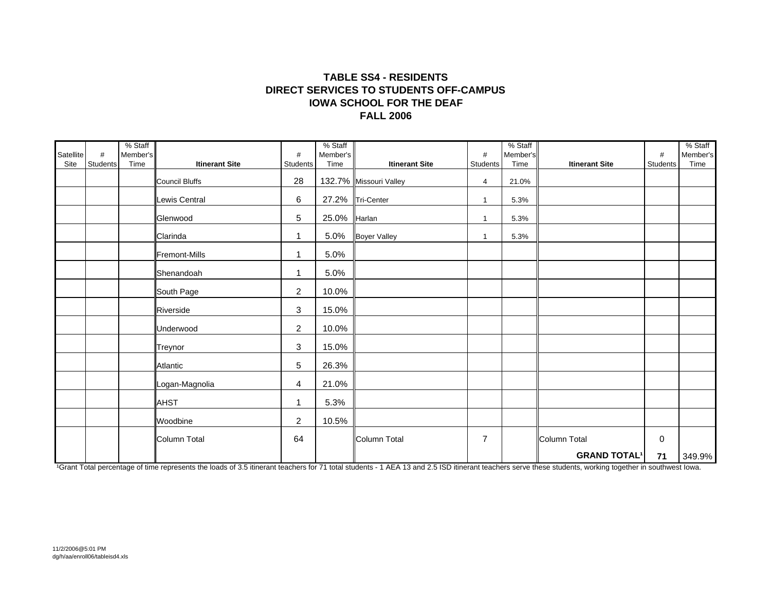#### **TABLE SS4 - RESIDENTS DIRECT SERVICES TO STUDENTS OFF-CAMPUSFALL 2006IOWA SCHOOL FOR THE DEAF**

|                   |                      | % Staff          |                       |                      | % Staff          |                        |                         | % Staff          |                                |                  | % Staff          |
|-------------------|----------------------|------------------|-----------------------|----------------------|------------------|------------------------|-------------------------|------------------|--------------------------------|------------------|------------------|
| Satellite<br>Site | #<br><b>Students</b> | Member's<br>Time | <b>Itinerant Site</b> | #<br><b>Students</b> | Member's<br>Time | <b>Itinerant Site</b>  | $\#$<br><b>Students</b> | Member's<br>Time | <b>Itinerant Site</b>          | $\#$<br>Students | Member's<br>Time |
|                   |                      |                  | Council Bluffs        | 28                   |                  | 132.7% Missouri Valley | 4                       | 21.0%            |                                |                  |                  |
|                   |                      |                  | Lewis Central         | 6                    | 27.2%            | Tri-Center             | $\overline{1}$          | 5.3%             |                                |                  |                  |
|                   |                      |                  | Glenwood              | 5                    | 25.0%            | Harlan                 | $\overline{1}$          | 5.3%             |                                |                  |                  |
|                   |                      |                  | Clarinda              | 1                    | 5.0%             | <b>Boyer Valley</b>    | $\overline{1}$          | 5.3%             |                                |                  |                  |
|                   |                      |                  | Fremont-Mills         | 1                    | 5.0%             |                        |                         |                  |                                |                  |                  |
|                   |                      |                  | Shenandoah            | 1                    | 5.0%             |                        |                         |                  |                                |                  |                  |
|                   |                      |                  | South Page            | $\overline{c}$       | 10.0%            |                        |                         |                  |                                |                  |                  |
|                   |                      |                  | Riverside             | 3                    | 15.0%            |                        |                         |                  |                                |                  |                  |
|                   |                      |                  | Underwood             | $\overline{2}$       | 10.0%            |                        |                         |                  |                                |                  |                  |
|                   |                      |                  | Treynor               | 3                    | 15.0%            |                        |                         |                  |                                |                  |                  |
|                   |                      |                  | Atlantic              | $\sqrt{5}$           | 26.3%            |                        |                         |                  |                                |                  |                  |
|                   |                      |                  | Logan-Magnolia        | $\overline{4}$       | 21.0%            |                        |                         |                  |                                |                  |                  |
|                   |                      |                  | AHST                  | 1                    | 5.3%             |                        |                         |                  |                                |                  |                  |
|                   |                      |                  | Woodbine              | $\overline{2}$       | 10.5%            |                        |                         |                  |                                |                  |                  |
|                   |                      |                  | Column Total          | 64                   |                  | Column Total           | $\overline{7}$          |                  | <b>Column Total</b>            | $\pmb{0}$        |                  |
|                   |                      |                  |                       |                      |                  |                        |                         |                  | <b>GRAND TOTAL<sup>1</sup></b> | 71               | 349.9%           |

<sup>1</sup>Grant Total percentage of time represents the loads of 3.5 itinerant teachers for 71 total students - 1 AEA 13 and 2.5 ISD itinerant teachers serve these students, working together in southwest Iowa.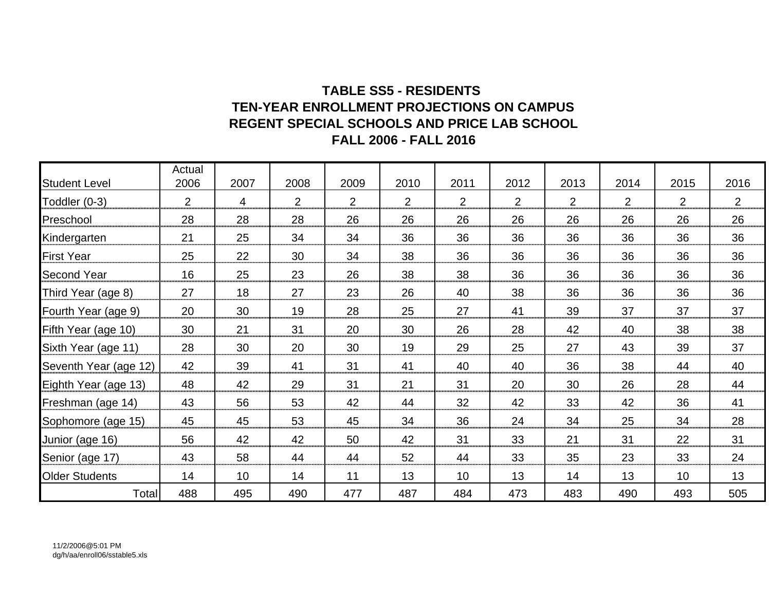## **TABLE SS5 - RESIDENTS TEN-YEAR ENROLLMENT PROJECTIONS ON CAMPUSREGENT SPECIAL SCHOOLS AND PRICE LAB SCHOOL FALL 2006 - FALL 2016**

|                       | Actual         |      |      |      |      |      |                |                |      |      |                |
|-----------------------|----------------|------|------|------|------|------|----------------|----------------|------|------|----------------|
| <b>Student Level</b>  | 2006           | 2007 | 2008 | 2009 | 2010 | 2011 | 2012           | 2013           | 2014 | 2015 | 2016           |
| Toddler (0-3)         | $\overline{2}$ | 4    | 2    | 2    | 2    | 2    | $\overline{2}$ | $\overline{2}$ | 2    | 2    | $\overline{2}$ |
| Preschool             | 28             | 28   | 28   | 26   | 26   | 26   | 26             | 26             | 26   | 26   | 26             |
| Kindergarten          | 21             | 25   | 34   | 34   | 36   | 36   | 36             | 36             | 36   | 36   | 36             |
| <b>First Year</b>     | 25             | 22   | 30   | 34   | 38   | 36   | 36             | 36             | 36   | 36   | 36             |
| <b>Second Year</b>    | 16             | 25   | 23   | 26   | 38   | 38   | 36             | 36             | 36   | 36   | 36             |
| Third Year (age 8)    | 27             | 18   | 27   | 23   | 26   | 40   | 38             | 36             | 36   | 36   | 36             |
| Fourth Year (age 9)   | 20             | 30   | 19   | 28   | 25   | 27   | 41             | 39             | 37   | 37   | 37             |
| Fifth Year (age 10)   | 30             | 21   | 31   | 20   | 30   | 26   | 28             | 42             | 40   | 38   | 38             |
| Sixth Year (age 11)   | 28             | 30   | 20   | 30   | 19   | 29   | 25             | 27             | 43   | 39   | 37             |
| Seventh Year (age 12) | 42             | 39   | 41   | 31   | 41   | 40   | 40             | 36             | 38   | 44   | 40             |
| Eighth Year (age 13)  | 48             | 42   | 29   | 31   | 21   | 31   | 20             | 30             | 26   | 28   | 44             |
| Freshman (age 14)     | 43             | 56   | 53   | 42   | 44   | 32   | 42             | 33             | 42   | 36   | 41             |
| Sophomore (age 15)    | 45             | 45   | 53   | 45   | 34   | 36   | 24             | 34             | 25   | 34   | 28             |
| Junior (age 16)       | 56             | 42   | 42   | 50   | 42   | 31   | 33             | 21             | 31   | 22   | 31             |
| Senior (age 17)       | 43             | 58   | 44   | 44   | 52   | 44   | 33             | 35             | 23   | 33   | 24             |
| <b>Older Students</b> | 14             | 10   | 14   | 11   | 13   | 10   | 13             | 14             | 13   | 10   | 13             |
| Total                 | 488            | 495  | 490  | 477  | 487  | 484  | 473            | 483            | 490  | 493  | 505            |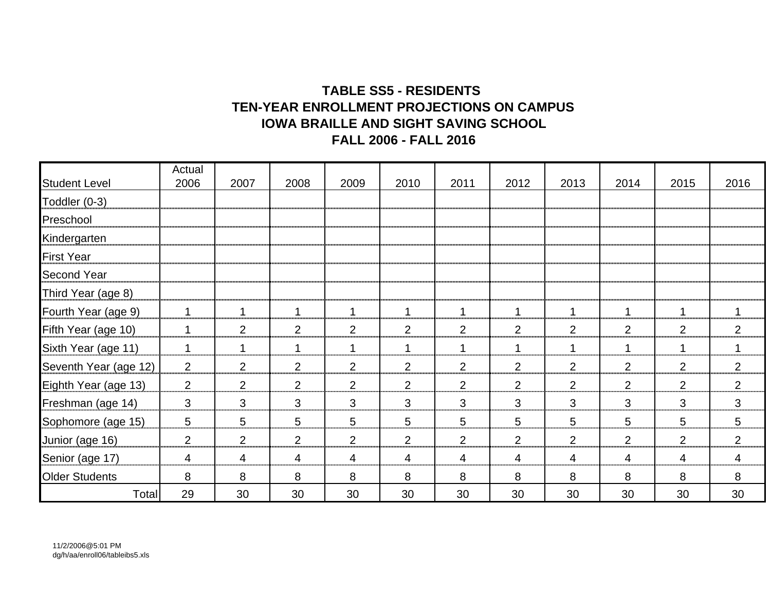## **TABLE SS5 - RESIDENTS TEN-YEAR ENROLLMENT PROJECTIONS ON CAMPUSIOWA BRAILLE AND SIGHT SAVING SCHOOL FALL 2006 - FALL 2016**

|                       | Actual         |                |                |                |                |                |                |                |                 |                |                |
|-----------------------|----------------|----------------|----------------|----------------|----------------|----------------|----------------|----------------|-----------------|----------------|----------------|
| <b>Student Level</b>  | 2006           | 2007           | 2008           | 2009           | 2010           | 2011           | 2012           | 2013           | 2014            | 2015           | 2016           |
| Toddler (0-3)         |                |                |                |                |                |                |                |                |                 |                |                |
| Preschool             |                |                |                |                |                |                |                |                |                 |                |                |
| Kindergarten          |                |                |                |                |                |                |                |                |                 |                |                |
| <b>First Year</b>     |                |                |                |                |                |                |                |                |                 |                |                |
| <b>Second Year</b>    |                |                |                |                |                |                |                |                |                 |                |                |
| Third Year (age 8)    |                |                |                |                |                |                |                |                |                 |                |                |
| Fourth Year (age 9)   | 1              | -1             | 1              | 1              | 1              | -1             | 1              | 1              | -1              | 1              | 1              |
| Fifth Year (age 10)   | 1              | 2              | 2              | 2              | 2              | $\overline{2}$ | 2              | 2              | 2               | 2              | $\overline{2}$ |
| Sixth Year (age 11)   | 1              |                | -1             | 1              | 1              |                |                | 1              | -1              | 1              |                |
| Seventh Year (age 12) | 2              | $\overline{2}$ | 2              | $\overline{2}$ | $\overline{2}$ | $\overline{2}$ | $\overline{2}$ | $\overline{2}$ | $\overline{2}$  | $\overline{2}$ | $\overline{2}$ |
| Eighth Year (age 13)  | 2              | $\overline{2}$ | 2              | $\overline{2}$ | 2              | 2              | $\overline{2}$ | $\overline{2}$ | 2               | $\overline{2}$ | $\overline{2}$ |
| Freshman (age 14)     | 3              | 3              | 3              | 3              | 3              | 3              | 3              | 3              | 3               | 3              | 3              |
| Sophomore (age 15)    | 5              | 5              | 5              | 5              | 5              | 5              | 5              | 5              | $5\phantom{.0}$ | 5              | 5              |
| Junior (age 16)       | $\overline{2}$ | 2              | $\overline{2}$ | $\overline{2}$ | $\overline{2}$ | $\overline{2}$ | $\overline{2}$ | $\overline{2}$ | $\overline{2}$  | $\overline{2}$ | $\overline{2}$ |
| Senior (age 17)       | 4              | $\overline{4}$ | 4              | 4              | 4              | 4              | 4              | 4              | $\overline{4}$  | 4              | 4              |
| <b>Older Students</b> | 8              | 8              | 8              | 8              | 8              | 8              | 8              | 8              | 8               | 8              | 8              |
| Total                 | 29             | 30             | 30             | 30             | 30             | 30             | 30             | 30             | 30              | 30             | 30             |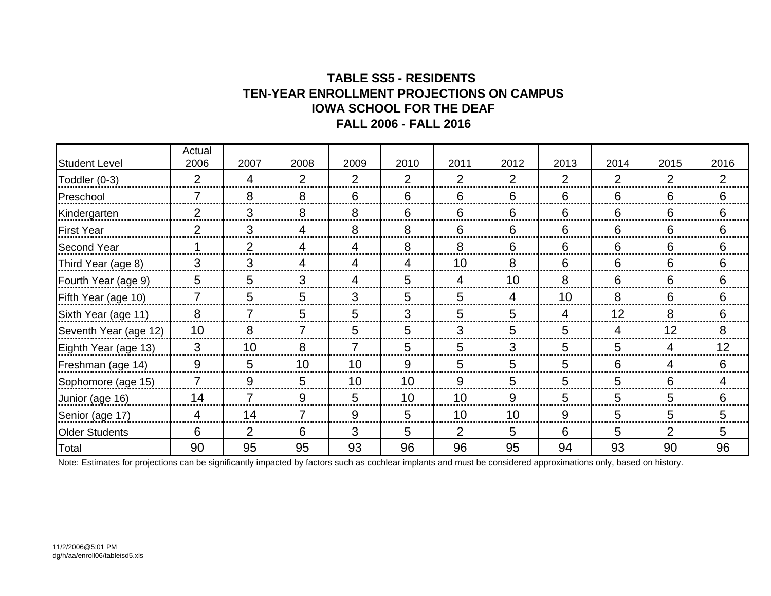### **TABLE SS5 - RESIDENTS TEN-YEAR ENROLLMENT PROJECTIONS ON CAMPUS IOWA SCHOOL FOR THE DEAF FALL 2006 - FALL 2016**

|                       | Actual         |                |                |                |      |                |                 |                |      |                |      |
|-----------------------|----------------|----------------|----------------|----------------|------|----------------|-----------------|----------------|------|----------------|------|
| <b>Student Level</b>  | 2006           | 2007           | 2008           | 2009           | 2010 | 2011           | 2012            | 2013           | 2014 | 2015           | 2016 |
| Toddler (0-3)         | $\overline{2}$ | 4              | 2              | $\overline{2}$ | 2    | $\overline{2}$ | 2               | $\overline{2}$ | 2    | $\overline{2}$ | 2    |
| Preschool             | 7              | 8              | 8              | 6              | 6    | 6              | 6               | 6              | 6    | 6              | 6    |
| Kindergarten          | $\overline{2}$ | 3              | 8              | 8              | 6    | 6              | 6               | 6              | 6    | 6              | 6    |
| <b>First Year</b>     | $\overline{2}$ | 3              | 4              | 8              | 8    | 6              | 6               | 6              | 6    | 6              | 6    |
| <b>Second Year</b>    | 1              | 2              | 4              | 4              | 8    | 8              | 6               | 6              | 6    | 6              | 6    |
| Third Year (age 8)    | 3              | 3              | 4              | 4              | 4    | 10             | 8               | 6              | 6    | 6              | 6    |
| Fourth Year (age 9)   | 5              | 5              | 3              | 4              | 5    | 4              | 10              | 8              | 6    | 6              | 6    |
| Fifth Year (age 10)   | 7              | 5              | 5              | 3              | 5    | 5              | 4               | 10             | 8    | 6              | 6    |
| Sixth Year (age 11)   | 8              |                | 5              | 5              | 3    | 5              | 5               | 4              | 12   | 8              | 6    |
| Seventh Year (age 12) | 10             | 8              | $\overline{7}$ | 5              | 5    | 3              | 5               | 5              | 4    | 12             | 8    |
| Eighth Year (age 13)  | 3              | 10             | 8              | 7              | 5    | 5              | 3               | 5              | 5    | 4              | 12   |
| Freshman (age 14)     | 9              | 5              | 10             | 10             | 9    | 5              | $5\phantom{.0}$ | 5              | 6    | 4              | 6    |
| Sophomore (age 15)    | $\overline{7}$ | 9              | 5              | 10             | 10   | 9              | 5               | 5              | 5    | 6              | 4    |
| Junior (age 16)       | 14             | $\overline{7}$ | 9              | 5              | 10   | 10             | 9               | 5              | 5    | 5              | 6    |
| Senior (age 17)       | 4              | 14             | $\overline{7}$ | 9              | 5    | 10             | 10              | 9              | 5    | 5              | 5    |
| <b>Older Students</b> | 6              | $\overline{2}$ | 6              | 3              | 5    | $\overline{2}$ | 5               | 6              | 5    | $\overline{2}$ | 5    |
| Total                 | 90             | 95             | 95             | 93             | 96   | 96             | 95              | 94             | 93   | 90             | 96   |

Note: Estimates for projections can be significantly impacted by factors such as cochlear implants and must be considered approximations only, based on history.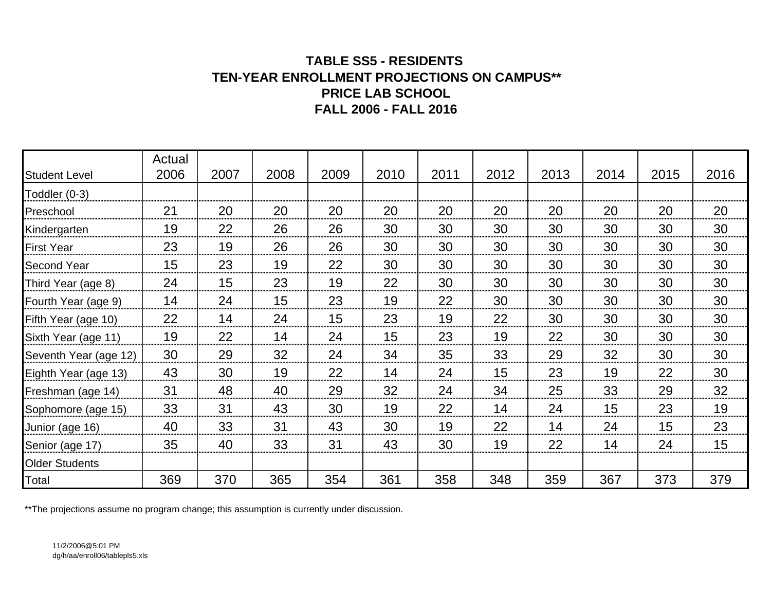## **TABLE SS5 - RESIDENTS TEN-YEAR ENROLLMENT PROJECTIONS ON CAMPUS\*\* PRICE LAB SCHOOLFALL 2006 - FALL 2016**

|                       | Actual |      |      |      |      |      |      |      |      |      |      |
|-----------------------|--------|------|------|------|------|------|------|------|------|------|------|
| <b>Student Level</b>  | 2006   | 2007 | 2008 | 2009 | 2010 | 2011 | 2012 | 2013 | 2014 | 2015 | 2016 |
| Toddler (0-3)         |        |      |      |      |      |      |      |      |      |      |      |
| Preschool             | 21     | 20   | 20   | 20   | 20   | 20   | 20   | 20   | 20   | 20   | 20   |
| Kindergarten          | 19     | 22   | 26   | 26   | 30   | 30   | 30   | 30   | 30   | 30   | 30   |
| <b>First Year</b>     | 23     | 19   | 26   | 26   | 30   | 30   | 30   | 30   | 30   | 30   | 30   |
| <b>Second Year</b>    | 15     | 23   | 19   | 22   | 30   | 30   | 30   | 30   | 30   | 30   | 30   |
| Third Year (age 8)    | 24     | 15   | 23   | 19   | 22   | 30   | 30   | 30   | 30   | 30   | 30   |
| Fourth Year (age 9)   | 14     | 24   | 15   | 23   | 19   | 22   | 30   | 30   | 30   | 30   | 30   |
| Fifth Year (age 10)   | 22     | 14   | 24   | 15   | 23   | 19   | 22   | 30   | 30   | 30   | 30   |
| Sixth Year (age 11)   | 19     | 22   | 14   | 24   | 15   | 23   | 19   | 22   | 30   | 30   | 30   |
| Seventh Year (age 12) | 30     | 29   | 32   | 24   | 34   | 35   | 33   | 29   | 32   | 30   | 30   |
| Eighth Year (age 13)  | 43     | 30   | 19   | 22   | 14   | 24   | 15   | 23   | 19   | 22   | 30   |
| Freshman (age 14)     | 31     | 48   | 40   | 29   | 32   | 24   | 34   | 25   | 33   | 29   | 32   |
| Sophomore (age 15)    | 33     | 31   | 43   | 30   | 19   | 22   | 14   | 24   | 15   | 23   | 19   |
| Junior (age 16)       | 40     | 33   | 31   | 43   | 30   | 19   | 22   | 14   | 24   | 15   | 23   |
| Senior (age 17)       | 35     | 40   | 33   | 31   | 43   | 30   | 19   | 22   | 14   | 24   | 15   |
| <b>Older Students</b> |        |      |      |      |      |      |      |      |      |      |      |
| Total                 | 369    | 370  | 365  | 354  | 361  | 358  | 348  | 359  | 367  | 373  | 379  |

\*\*The projections assume no program change; this assumption is currently under discussion.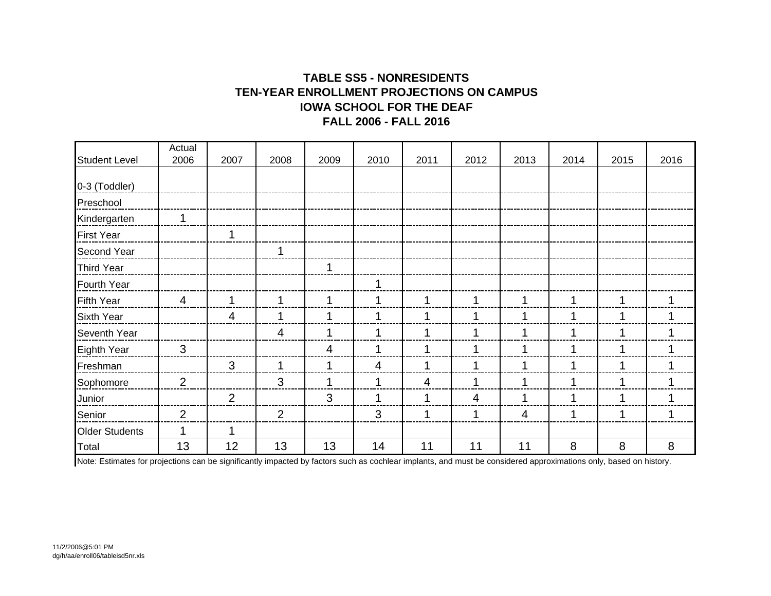### **TABLE SS5 - NONRESIDENTSTEN-YEAR ENROLLMENT PROJECTIONS ON CAMPUSIOWA SCHOOL FOR THE DEAFFALL 2006 - FALL 2016**

|                       | Actual         |                |                |      |      |                |                |      |      |      |      |
|-----------------------|----------------|----------------|----------------|------|------|----------------|----------------|------|------|------|------|
| <b>Student Level</b>  | 2006           | 2007           | 2008           | 2009 | 2010 | 2011           | 2012           | 2013 | 2014 | 2015 | 2016 |
| 0-3 (Toddler)         |                |                |                |      |      |                |                |      |      |      |      |
| Preschool             |                |                |                |      |      |                |                |      |      |      |      |
| Kindergarten          | 1              |                |                |      |      |                |                |      |      |      |      |
| <b>First Year</b>     |                |                |                |      |      |                |                |      |      |      |      |
| Second Year           |                |                | 1              |      |      |                |                |      |      |      |      |
| <b>Third Year</b>     |                |                |                | 1    |      |                |                |      |      |      |      |
| Fourth Year           |                |                |                |      | 1    |                |                |      |      |      |      |
| <b>Fifth Year</b>     | 4              |                |                | 1    | 1    |                | 1              |      | 1    |      | 1    |
| <b>Sixth Year</b>     |                | 4              |                | 1    | 1    |                | 1              |      | 1    |      | 1    |
| Seventh Year          |                |                | 4              | 1    | 1    |                | 1              |      | 1    |      | 1    |
| <b>Eighth Year</b>    | 3              |                |                | 4    | 1    |                | 1              |      | 1    |      | 1    |
| Freshman              |                | 3              | 1              | 1    | 4    |                | 1              |      | 1    |      | 1    |
| Sophomore             | $\overline{2}$ |                | 3              | 1    | 1    | $\overline{4}$ | 1              |      | 1    |      | 1    |
| Junior                |                | $\overline{2}$ |                | 3    | 1    | 1              | $\overline{4}$ |      | 1    |      | 1    |
| Senior                | $\overline{2}$ |                | $\overline{2}$ |      | 3    | 1              | 1              | 4    | 1    |      | 1    |
| <b>Older Students</b> | 1              |                |                |      |      |                |                |      |      |      |      |
| Total                 | 13             | 12             | 13             | 13   | 14   | 11             | 11             | 11   | 8    | 8    | 8    |

Note: Estimates for projections can be significantly impacted by factors such as cochlear implants, and must be considered approximations only, based on history.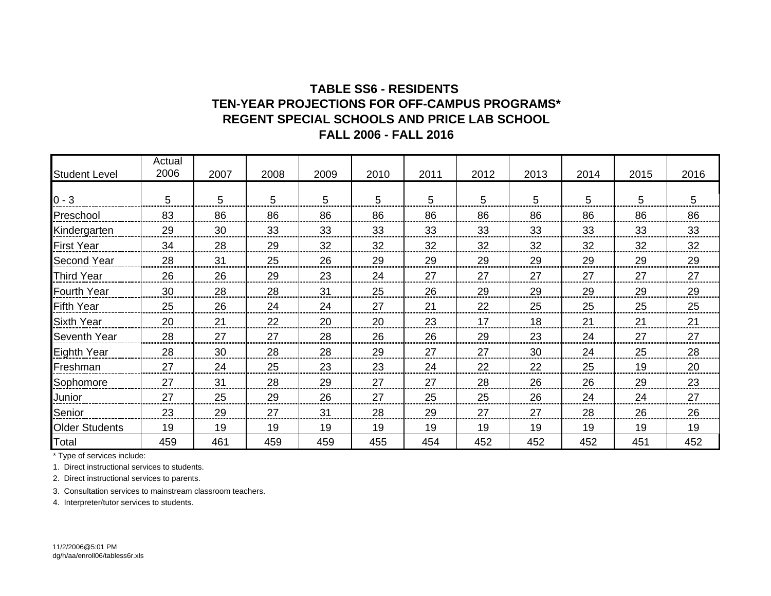### **TABLE SS6 - RESIDENTS REGENT SPECIAL SCHOOLS AND PRICE LAB SCHOOLTEN-YEAR PROJECTIONS FOR OFF-CAMPUS PROGRAMS\*FALL 2006 - FALL 2016**

|                       | Actual |      |      |      |      |      |      |      |      |      |      |
|-----------------------|--------|------|------|------|------|------|------|------|------|------|------|
| <b>Student Level</b>  | 2006   | 2007 | 2008 | 2009 | 2010 | 2011 | 2012 | 2013 | 2014 | 2015 | 2016 |
| $0 - 3$               | 5      | 5    | 5    | 5    | 5    | 5    | 5    | 5    | 5    | 5    | 5    |
| Preschool             | 83     | 86   | 86   | 86   | 86   | 86   | 86   | 86   | 86   | 86   | 86   |
| Kindergarten          | 29     | 30   | 33   | 33   | 33   | 33   | 33   | 33   | 33   | 33   | 33   |
| <b>First Year</b>     | 34     | 28   | 29   | 32   | 32   | 32   | 32   | 32   | 32   | 32   | 32   |
| <b>Second Year</b>    | 28     | 31   | 25   | 26   | 29   | 29   | 29   | 29   | 29   | 29   | 29   |
| <b>Third Year</b>     | 26     | 26   | 29   | 23   | 24   | 27   | 27   | 27   | 27   | 27   | 27   |
| <b>Fourth Year</b>    | 30     | 28   | 28   | 31   | 25   | 26   | 29   | 29   | 29   | 29   | 29   |
| <b>Fifth Year</b>     | 25     | 26   | 24   | 24   | 27   | 21   | 22   | 25   | 25   | 25   | 25   |
| <b>Sixth Year</b>     | 20     | 21   | 22   | 20   | 20   | 23   | 17   | 18   | 21   | 21   | 21   |
| <b>Seventh Year</b>   | 28     | 27   | 27   | 28   | 26   | 26   | 29   | 23   | 24   | 27   | 27   |
| <b>Eighth Year</b>    | 28     | 30   | 28   | 28   | 29   | 27   | 27   | 30   | 24   | 25   | 28   |
| Freshman              | 27     | 24   | 25   | 23   | 23   | 24   | 22   | 22   | 25   | 19   | 20   |
| Sophomore             | 27     | 31   | 28   | 29   | 27   | 27   | 28   | 26   | 26   | 29   | 23   |
| Junior                | 27     | 25   | 29   | 26   | 27   | 25   | 25   | 26   | 24   | 24   | 27   |
| Senior                | 23     | 29   | 27   | 31   | 28   | 29   | 27   | 27   | 28   | 26   | 26   |
| <b>Older Students</b> | 19     | 19   | 19   | 19   | 19   | 19   | 19   | 19   | 19   | 19   | 19   |
| Total                 | 459    | 461  | 459  | 459  | 455  | 454  | 452  | 452  | 452  | 451  | 452  |

\* Type of services include:

1. Direct instructional services to students.

2. Direct instructional services to parents.

3. Consultation services to mainstream classroom teachers.

4. Interpreter/tutor services to students.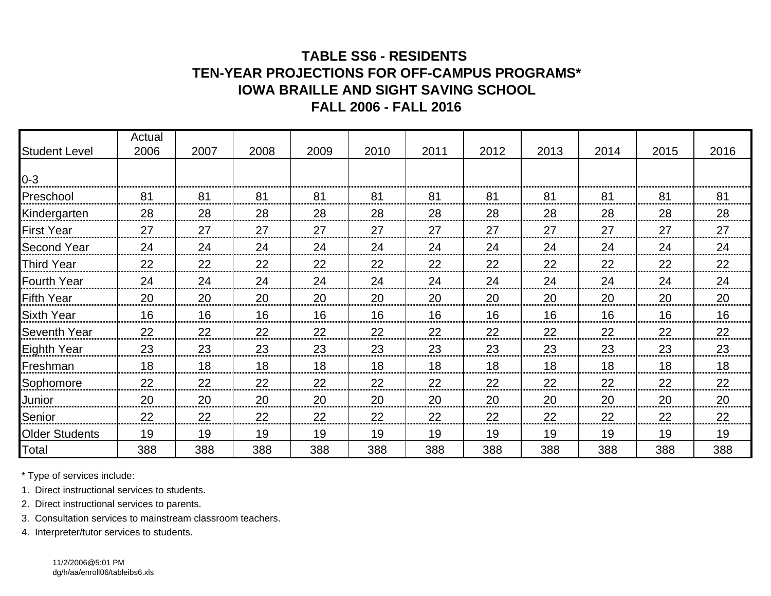## **TABLE SS6 - RESIDENTS TEN-YEAR PROJECTIONS FOR OFF-CAMPUS PROGRAMS\* IOWA BRAILLE AND SIGHT SAVING SCHOOLFALL 2006 - FALL 2016**

|                       | Actual |      |      |      |      |      |      |      |      |      |      |
|-----------------------|--------|------|------|------|------|------|------|------|------|------|------|
| <b>Student Level</b>  | 2006   | 2007 | 2008 | 2009 | 2010 | 2011 | 2012 | 2013 | 2014 | 2015 | 2016 |
| $0 - 3$               |        |      |      |      |      |      |      |      |      |      |      |
| Preschool             | 81     | 81   | 81   | 81   | 81   | 81   | 81   | 81   | 81   | 81   | 81   |
| Kindergarten          | 28     | 28   | 28   | 28   | 28   | 28   | 28   | 28   | 28   | 28   | 28   |
| <b>First Year</b>     | 27     | 27   | 27   | 27   | 27   | 27   | 27   | 27   | 27   | 27   | 27   |
| <b>Second Year</b>    | 24     | 24   | 24   | 24   | 24   | 24   | 24   | 24   | 24   | 24   | 24   |
| <b>Third Year</b>     | 22     | 22   | 22   | 22   | 22   | 22   | 22   | 22   | 22   | 22   | 22   |
| <b>Fourth Year</b>    | 24     | 24   | 24   | 24   | 24   | 24   | 24   | 24   | 24   | 24   | 24   |
| <b>Fifth Year</b>     | 20     | 20   | 20   | 20   | 20   | 20   | 20   | 20   | 20   | 20   | 20   |
| <b>Sixth Year</b>     | 16     | 16   | 16   | 16   | 16   | 16   | 16   | 16   | 16   | 16   | 16   |
| <b>Seventh Year</b>   | 22     | 22   | 22   | 22   | 22   | 22   | 22   | 22   | 22   | 22   | 22   |
| <b>Eighth Year</b>    | 23     | 23   | 23   | 23   | 23   | 23   | 23   | 23   | 23   | 23   | 23   |
| Freshman              | 18     | 18   | 18   | 18   | 18   | 18   | 18   | 18   | 18   | 18   | 18   |
| Sophomore             | 22     | 22   | 22   | 22   | 22   | 22   | 22   | 22   | 22   | 22   | 22   |
| Junior                | 20     | 20   | 20   | 20   | 20   | 20   | 20   | 20   | 20   | 20   | 20   |
| Senior                | 22     | 22   | 22   | 22   | 22   | 22   | 22   | 22   | 22   | 22   | 22   |
| <b>Older Students</b> | 19     | 19   | 19   | 19   | 19   | 19   | 19   | 19   | 19   | 19   | 19   |
| Total                 | 388    | 388  | 388  | 388  | 388  | 388  | 388  | 388  | 388  | 388  | 388  |

\* Type of services include:

1. Direct instructional services to students.

2. Direct instructional services to parents.

3. Consultation services to mainstream classroom teachers.

4. Interpreter/tutor services to students.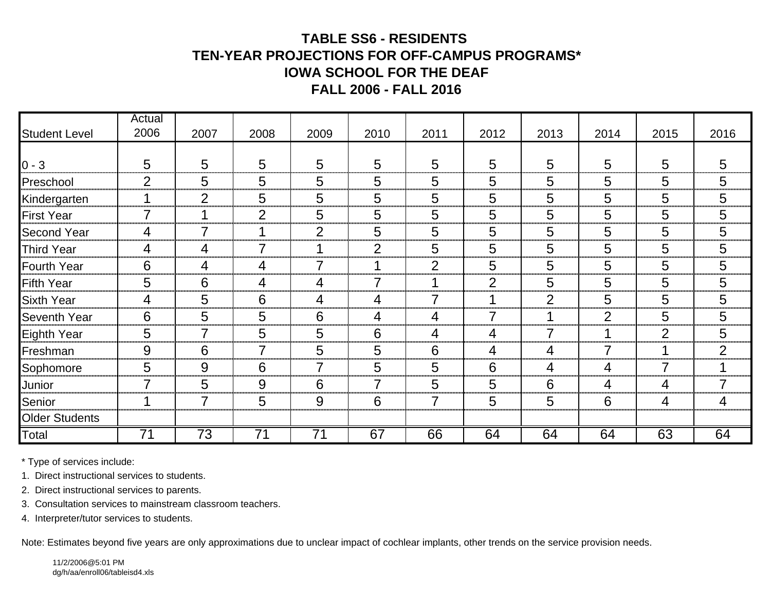# **TABLE SS6 - RESIDENTS TEN-YEAR PROJECTIONS FOR OFF-CAMPUS PROGRAMS\* IOWA SCHOOL FOR THE DEAFFALL 2006 - FALL 2016**

|                       | Actual         |                |                |      |                |                 |                |                |                |                |      |
|-----------------------|----------------|----------------|----------------|------|----------------|-----------------|----------------|----------------|----------------|----------------|------|
| <b>Student Level</b>  | 2006           | 2007           | 2008           | 2009 | 2010           | 2011            | 2012           | 2013           | 2014           | 2015           | 2016 |
| $0 - 3$               | 5              | 5              | 5              | 5    | 5              | 5               | 5              | 5              | 5              | 5              | 5    |
| Preschool             | $\overline{2}$ | 5              | 5              | 5    | 5              | 5               | 5              | 5              | 5              | 5              | 5    |
| Kindergarten          |                | $\overline{2}$ | 5              | 5    | 5              | $5\phantom{.0}$ | 5              | 5              | 5              | 5              | 5    |
| <b>First Year</b>     | 7              |                | $\overline{2}$ | 5    | 5              | 5               | 5              | 5              | 5              | 5              | 5    |
| <b>Second Year</b>    | 4              |                |                | 2    | 5              | 5               | 5              | 5              | 5              | 5              | 5    |
| <b>Third Year</b>     | 4              | 4              | 7              |      | $\overline{2}$ | 5               | 5              | 5              | 5              | 5              | 5    |
| <b>Fourth Year</b>    | 6              | 4              | 4              |      |                | $\overline{2}$  | 5              | 5              | 5              | 5              | 5    |
| <b>Fifth Year</b>     | 5              | 6              | 4              | 4    | 7              | 1               | $\overline{2}$ | 5              | 5              | 5              | 5    |
| <b>Sixth Year</b>     | 4              | 5              | 6              | 4    | 4              | 7               |                | $\overline{2}$ | 5              | 5              | 5    |
| <b>Seventh Year</b>   | 6              | 5              | 5              | 6    | 4              | 4               | 7              | ◢              | $\overline{2}$ | 5              | 5    |
| <b>Eighth Year</b>    | 5              | 7              | 5              | 5    | 6              | $\overline{4}$  | 4              |                |                | $\overline{2}$ | 5    |
| Freshman              | 9              | 6              |                | 5    | 5              | 6               | 4              | 4              | 7              | 1              | 2    |
| Sophomore             | 5              | 9              | 6              |      | 5              | 5               | 6              | 4              | 4              | 7              |      |
| Junior                |                | 5              | 9              | 6    | 7              | 5               | 5              | 6              | 4              | 4              | 7    |
| Senior                |                | 7              | 5              | 9    | 6              | $\overline{7}$  | 5              | 5              | 6              | 4              | 4    |
| <b>Older Students</b> |                |                |                |      |                |                 |                |                |                |                |      |
| Total                 | 71             | 73             | 71             | 71   | 67             | 66              | 64             | 64             | 64             | 63             | 64   |

\* Type of services include:

1. Direct instructional services to students.

2. Direct instructional services to parents.

3. Consultation services to mainstream classroom teachers.

4. Interpreter/tutor services to students.

Note: Estimates beyond five years are only approximations due to unclear impact of cochlear implants, other trends on the service provision needs.

11/2/2006@5:01 PM dg/h/aa/enroll06/tableisd4.xls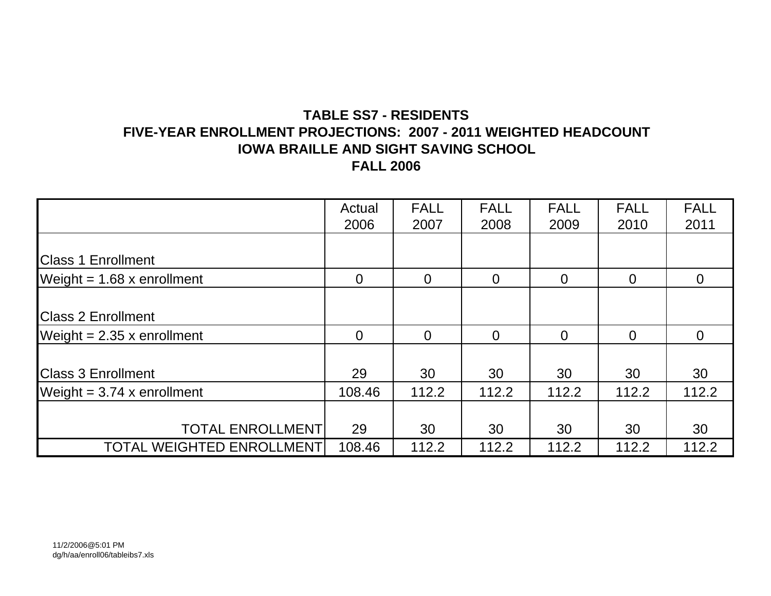# **TABLE SS7 - RESIDENTSFIVE-YEAR ENROLLMENT PROJECTIONS: 2007 - 2011 WEIGHTED HEADCOUNT IOWA BRAILLE AND SIGHT SAVING SCHOOL FALL 2006**

|                                  | Actual         | <b>FALL</b> | <b>FALL</b> | <b>FALL</b>    | <b>FALL</b>    | <b>FALL</b>    |
|----------------------------------|----------------|-------------|-------------|----------------|----------------|----------------|
|                                  | 2006           | 2007        | 2008        | 2009           | 2010           | 2011           |
|                                  |                |             |             |                |                |                |
| <b>Class 1 Enrollment</b>        |                |             |             |                |                |                |
| Weight = $1.68$ x enrollment     | $\overline{0}$ | $\Omega$    | 0           | $\overline{0}$ | $\overline{0}$ | $\overline{0}$ |
|                                  |                |             |             |                |                |                |
| <b>Class 2 Enrollment</b>        |                |             |             |                |                |                |
| Weight = $2.35$ x enrollment     | $\overline{0}$ | $\Omega$    | 0           | $\overline{0}$ | $\overline{0}$ | $\overline{0}$ |
|                                  |                |             |             |                |                |                |
| <b>Class 3 Enrollment</b>        | 29             | 30          | 30          | 30             | 30             | 30             |
| Weight = $3.74$ x enrollment     | 108.46         | 112.2       | 112.2       | 112.2          | 112.2          | 112.2          |
|                                  |                |             |             |                |                |                |
| <b>TOTAL ENROLLMENT</b>          | 29             | 30          | 30          | 30             | 30             | 30             |
| <b>TOTAL WEIGHTED ENROLLMENT</b> | 108.46         | 112.2       | 112.2       | 112.2          | 112.2          | 112.2          |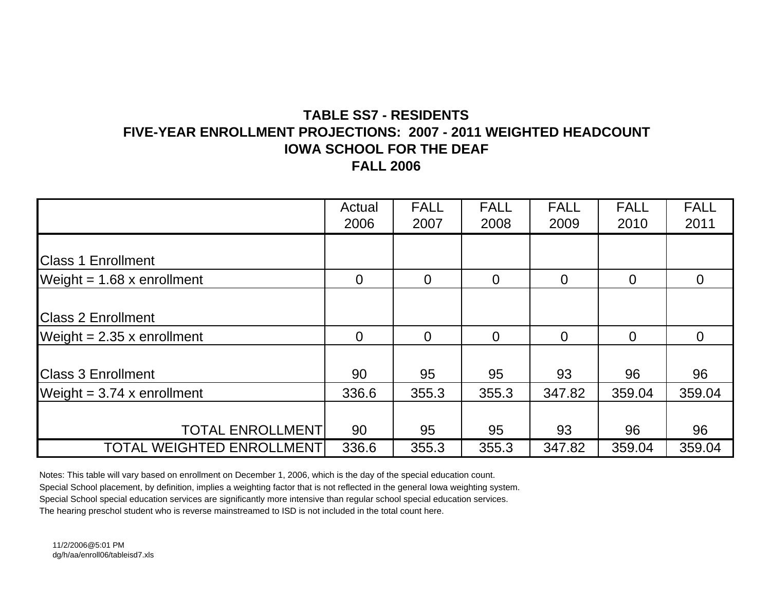## **TABLE SS7 - RESIDENTSFIVE-YEAR ENROLLMENT PROJECTIONS: 2007 - 2011 WEIGHTED HEADCOUNTIOWA SCHOOL FOR THE DEAFFALL 2006**

|                                  | Actual         | <b>FALL</b>    | <b>FALL</b> | <b>FALL</b>    | <b>FALL</b>    | <b>FALL</b> |
|----------------------------------|----------------|----------------|-------------|----------------|----------------|-------------|
|                                  | 2006           | 2007           | 2008        | 2009           | 2010           | 2011        |
| <b>Class 1 Enrollment</b>        |                |                |             |                |                |             |
| Weight = $1.68$ x enrollment     | $\overline{0}$ | $\overline{0}$ | $\Omega$    | $\overline{0}$ | $\overline{0}$ | $\Omega$    |
|                                  |                |                |             |                |                |             |
| <b>Class 2 Enrollment</b>        |                |                |             |                |                |             |
| Weight = $2.35$ x enrollment     | $\overline{0}$ | $\overline{0}$ | $\Omega$    | $\overline{0}$ | $\overline{0}$ | $\Omega$    |
|                                  |                |                |             |                |                |             |
| <b>Class 3 Enrollment</b>        | 90             | 95             | 95          | 93             | 96             | 96          |
| Weight = $3.74$ x enrollment     | 336.6          | 355.3          | 355.3       | 347.82         | 359.04         | 359.04      |
|                                  |                |                |             |                |                |             |
| <b>TOTAL ENROLLMENT</b>          | 90             | 95             | 95          | 93             | 96             | 96          |
| <b>TOTAL WEIGHTED ENROLLMENT</b> | 336.6          | 355.3          | 355.3       | 347.82         | 359.04         | 359.04      |

Notes: This table will vary based on enrollment on December 1, 2006, which is the day of the special education count.

Special School placement, by definition, implies a weighting factor that is not reflected in the general Iowa weighting system.

Special School special education services are significantly more intensive than regular school special education services.

The hearing preschol student who is reverse mainstreamed to ISD is not included in the total count here.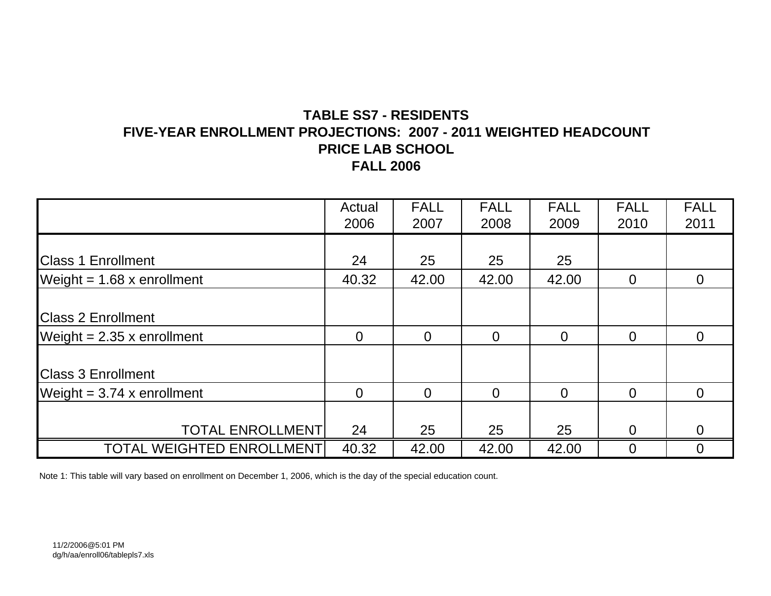# **TABLE SS7 - RESIDENTSFIVE-YEAR ENROLLMENT PROJECTIONS: 2007 - 2011 WEIGHTED HEADCOUNT PRICE LAB SCHOOL FALL 2006**

|                                  | Actual         | <b>FALL</b>    | <b>FALL</b> | <b>FALL</b>    | <b>FALL</b>    | <b>FALL</b> |
|----------------------------------|----------------|----------------|-------------|----------------|----------------|-------------|
|                                  | 2006           | 2007           | 2008        | 2009           | 2010           | 2011        |
|                                  |                |                |             |                |                |             |
| <b>Class 1 Enrollment</b>        | 24             | 25             | 25          | 25             |                |             |
| Weight = $1.68$ x enrollment     | 40.32          | 42.00          | 42.00       | 42.00          | $\overline{0}$ | $\Omega$    |
|                                  |                |                |             |                |                |             |
| <b>Class 2 Enrollment</b>        |                |                |             |                |                |             |
| Weight = $2.35$ x enrollment     | $\overline{0}$ | $\Omega$       | 0           | $\Omega$       | $\Omega$       | $\Omega$    |
|                                  |                |                |             |                |                |             |
| <b>Class 3 Enrollment</b>        |                |                |             |                |                |             |
| Weight = $3.74$ x enrollment     | $\overline{0}$ | $\overline{0}$ | $\Omega$    | $\overline{0}$ | $\Omega$       | $\Omega$    |
|                                  |                |                |             |                |                |             |
| <b>TOTAL ENROLLMENT</b>          | 24             | 25             | 25          | 25             | $\Omega$       | 0           |
| <b>TOTAL WEIGHTED ENROLLMENT</b> | 40.32          | 42.00          | 42.00       | 42.00          | $\Omega$       | 0           |

Note 1: This table will vary based on enrollment on December 1, 2006, which is the day of the special education count.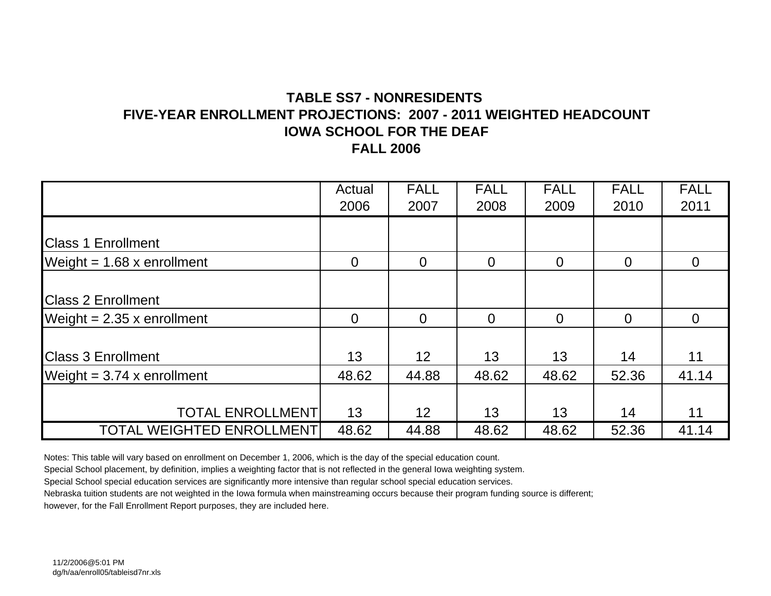# **TABLE SS7 - NONRESIDENTS FIVE-YEAR ENROLLMENT PROJECTIONS: 2007 - 2011 WEIGHTED HEADCOUNTIOWA SCHOOL FOR THE DEAFFALL 2006**

|                                  | Actual         | <b>FALL</b>     | <b>FALL</b>    | <b>FALL</b>    | <b>FALL</b>    | <b>FALL</b>    |
|----------------------------------|----------------|-----------------|----------------|----------------|----------------|----------------|
|                                  | 2006           | 2007            | 2008           | 2009           | 2010           | 2011           |
|                                  |                |                 |                |                |                |                |
| <b>Class 1 Enrollment</b>        |                |                 |                |                |                |                |
| Weight = $1.68$ x enrollment     | $\overline{0}$ | $\overline{0}$  | $\overline{0}$ | $\overline{0}$ | $\overline{0}$ | $\Omega$       |
|                                  |                |                 |                |                |                |                |
| <b>Class 2 Enrollment</b>        |                |                 |                |                |                |                |
| Weight = $2.35$ x enrollment     | 0              | $\Omega$        | $\overline{0}$ | $\overline{0}$ | $\overline{0}$ | $\overline{0}$ |
|                                  |                |                 |                |                |                |                |
| <b>Class 3 Enrollment</b>        | 13             | 12 <sup>2</sup> | 13             | 13             | 14             | 11             |
| Weight = $3.74$ x enrollment     | 48.62          | 44.88           | 48.62          | 48.62          | 52.36          | 41.14          |
|                                  |                |                 |                |                |                |                |
| <b>TOTAL ENROLLMENT</b>          | 13             | 12 <sup>2</sup> | 13             | 13             | 14             | 11             |
| <b>TOTAL WEIGHTED ENROLLMENT</b> | 48.62          | 44.88           | 48.62          | 48.62          | 52.36          | 41.14          |

Notes: This table will vary based on enrollment on December 1, 2006, which is the day of the special education count.

Special School placement, by definition, implies a weighting factor that is not reflected in the general Iowa weighting system.

Special School special education services are significantly more intensive than regular school special education services.

Nebraska tuition students are not weighted in the Iowa formula when mainstreaming occurs because their program funding source is different; however, for the Fall Enrollment Report purposes, they are included here.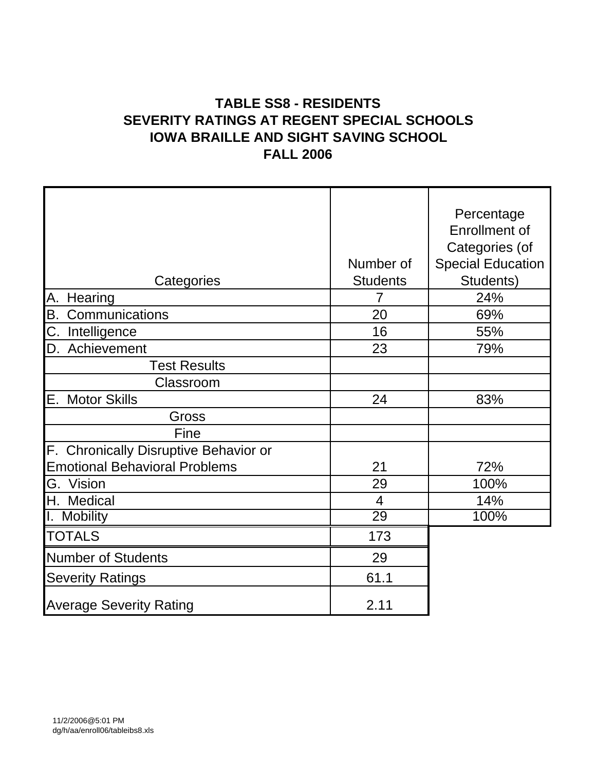# **TABLE SS8 - RESIDENTS SEVERITY RATINGS AT REGENT SPECIAL SCHOOLS IOWA BRAILLE AND SIGHT SAVING SCHOOL FALL 2006**

|                                       |                 | Percentage<br>Enrollment of<br>Categories (of |
|---------------------------------------|-----------------|-----------------------------------------------|
|                                       | Number of       | <b>Special Education</b>                      |
| Categories                            | <b>Students</b> | Students)                                     |
| Hearing<br>Α.                         | 7               | 24%                                           |
| B.<br>Communications                  | 20              | 69%                                           |
| C.<br>Intelligence                    | 16              | 55%                                           |
| Achievement<br>ID.                    | 23              | 79%                                           |
| <b>Test Results</b>                   |                 |                                               |
| Classroom                             |                 |                                               |
| IE.<br><b>Motor Skills</b>            | 24              | 83%                                           |
| Gross                                 |                 |                                               |
| Fine                                  |                 |                                               |
| F. Chronically Disruptive Behavior or |                 |                                               |
| <b>Emotional Behavioral Problems</b>  | 21              | 72%                                           |
| G. Vision                             | 29              | 100%                                          |
| H.<br>Medical                         | $\overline{4}$  | 14%                                           |
| I. Mobility                           | 29              | 100%                                          |
| <b>TOTALS</b>                         | 173             |                                               |
| <b>Number of Students</b>             | 29              |                                               |
| <b>Severity Ratings</b>               | 61.1            |                                               |
| <b>Average Severity Rating</b>        | 2.11            |                                               |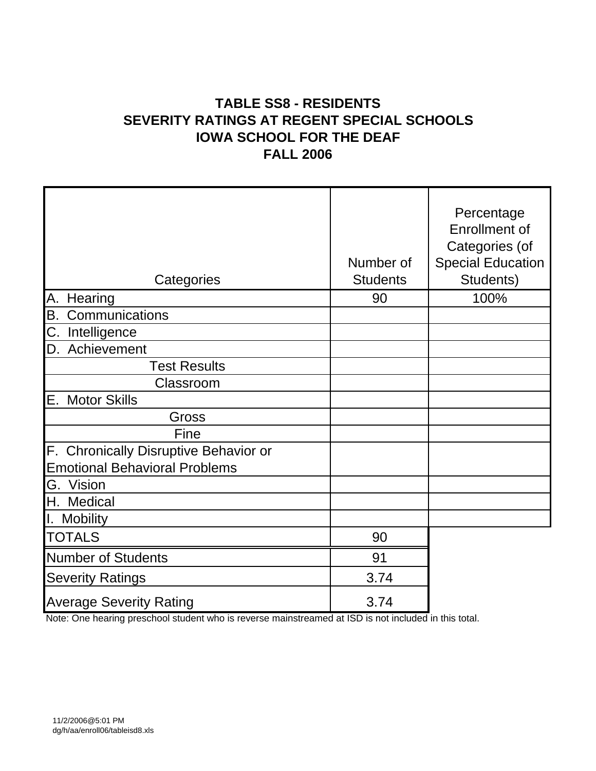# **TABLE SS8 - RESIDENTS SEVERITY RATINGS AT REGENT SPECIAL SCHOOLS IOWA SCHOOL FOR THE DEAF FALL 2006**

| Categories                                                                    | Number of<br><b>Students</b> | Percentage<br><b>Enrollment of</b><br>Categories (of<br><b>Special Education</b><br>Students) |
|-------------------------------------------------------------------------------|------------------------------|-----------------------------------------------------------------------------------------------|
| A.<br>Hearing                                                                 | 90                           | 100%                                                                                          |
| B.<br>Communications                                                          |                              |                                                                                               |
| C.<br>Intelligence                                                            |                              |                                                                                               |
| Achievement<br>D.                                                             |                              |                                                                                               |
| <b>Test Results</b>                                                           |                              |                                                                                               |
| Classroom                                                                     |                              |                                                                                               |
| <b>Motor Skills</b><br>E.                                                     |                              |                                                                                               |
| Gross                                                                         |                              |                                                                                               |
| Fine                                                                          |                              |                                                                                               |
| F. Chronically Disruptive Behavior or<br><b>Emotional Behavioral Problems</b> |                              |                                                                                               |
| Vision<br>G.                                                                  |                              |                                                                                               |
| H. Medical                                                                    |                              |                                                                                               |
| Ι.<br><b>Mobility</b>                                                         |                              |                                                                                               |
| <b>TOTALS</b>                                                                 | 90                           |                                                                                               |
| <b>Number of Students</b>                                                     | 91                           |                                                                                               |
| <b>Severity Ratings</b>                                                       | 3.74                         |                                                                                               |
| <b>Average Severity Rating</b>                                                | 3.74                         |                                                                                               |

Note: One hearing preschool student who is reverse mainstreamed at ISD is not included in this total.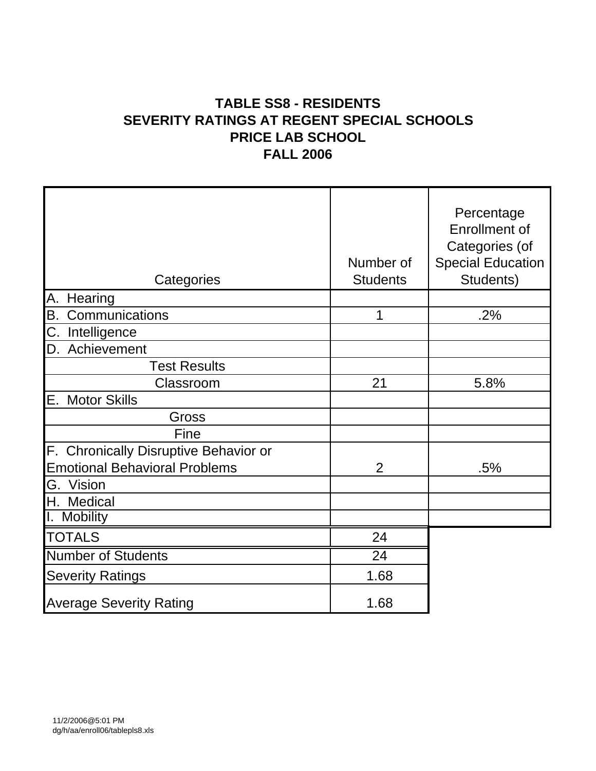# **TABLE SS8 - RESIDENTS SEVERITY RATINGS AT REGENT SPECIAL SCHOOLS PRICE LAB SCHOOL FALL 2006**

| Categories                            | Number of<br><b>Students</b> | Percentage<br><b>Enrollment of</b><br>Categories (of<br><b>Special Education</b><br>Students) |
|---------------------------------------|------------------------------|-----------------------------------------------------------------------------------------------|
| A.<br>Hearing                         |                              |                                                                                               |
| B.<br>Communications                  | 1                            | .2%                                                                                           |
| C.<br>Intelligence                    |                              |                                                                                               |
| Achievement<br>D.                     |                              |                                                                                               |
| <b>Test Results</b>                   |                              |                                                                                               |
| Classroom                             | 21                           | 5.8%                                                                                          |
| E.<br><b>Motor Skills</b>             |                              |                                                                                               |
| Gross                                 |                              |                                                                                               |
| Fine                                  |                              |                                                                                               |
| F. Chronically Disruptive Behavior or |                              |                                                                                               |
| <b>Emotional Behavioral Problems</b>  | $\overline{2}$               | .5%                                                                                           |
| G.<br>Vision                          |                              |                                                                                               |
| H. Medical                            |                              |                                                                                               |
| Ι.<br><b>Mobility</b>                 |                              |                                                                                               |
| <b>TOTALS</b>                         | 24                           |                                                                                               |
| <b>Number of Students</b>             | 24                           |                                                                                               |
| <b>Severity Ratings</b>               | 1.68                         |                                                                                               |
| <b>Average Severity Rating</b>        | 1.68                         |                                                                                               |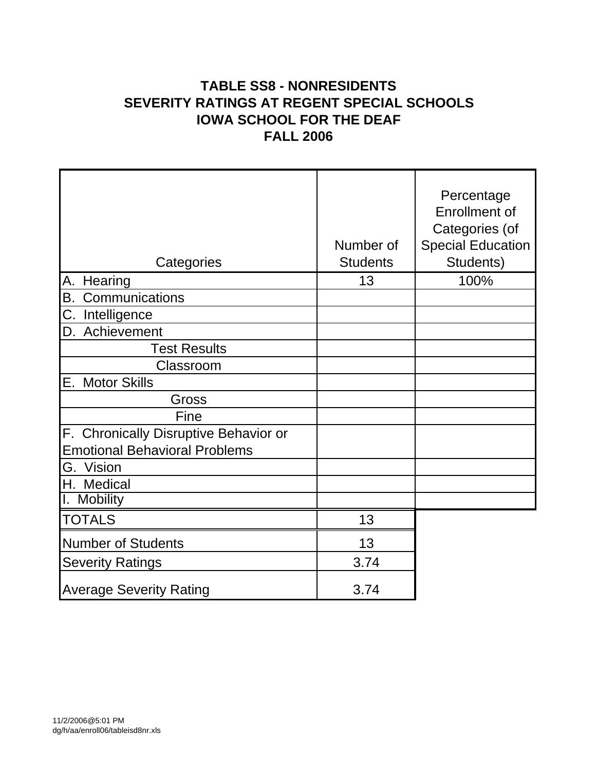# **TABLE SS8 - NONRESIDENTS SEVERITY RATINGS AT REGENT SPECIAL SCHOOLS IOWA SCHOOL FOR THE DEAF FALL 2006**

| Categories                                                                    | Number of<br><b>Students</b> | Percentage<br><b>Enrollment of</b><br>Categories (of<br><b>Special Education</b><br>Students) |
|-------------------------------------------------------------------------------|------------------------------|-----------------------------------------------------------------------------------------------|
| Hearing<br>Α.                                                                 | 13                           | 100%                                                                                          |
| <b>B.</b><br>Communications                                                   |                              |                                                                                               |
| C.<br>Intelligence                                                            |                              |                                                                                               |
| Achievement<br>D.                                                             |                              |                                                                                               |
| <b>Test Results</b>                                                           |                              |                                                                                               |
| Classroom                                                                     |                              |                                                                                               |
| Ε.<br><b>Motor Skills</b>                                                     |                              |                                                                                               |
| Gross                                                                         |                              |                                                                                               |
| Fine                                                                          |                              |                                                                                               |
| F. Chronically Disruptive Behavior or<br><b>Emotional Behavioral Problems</b> |                              |                                                                                               |
| G. Vision                                                                     |                              |                                                                                               |
| Η.<br><b>Medical</b>                                                          |                              |                                                                                               |
| <b>Mobility</b>                                                               |                              |                                                                                               |
| <b>TOTALS</b>                                                                 | 13                           |                                                                                               |
| <b>Number of Students</b>                                                     | 13                           |                                                                                               |
| <b>Severity Ratings</b>                                                       | 3.74                         |                                                                                               |
| <b>Average Severity Rating</b>                                                | 3.74                         |                                                                                               |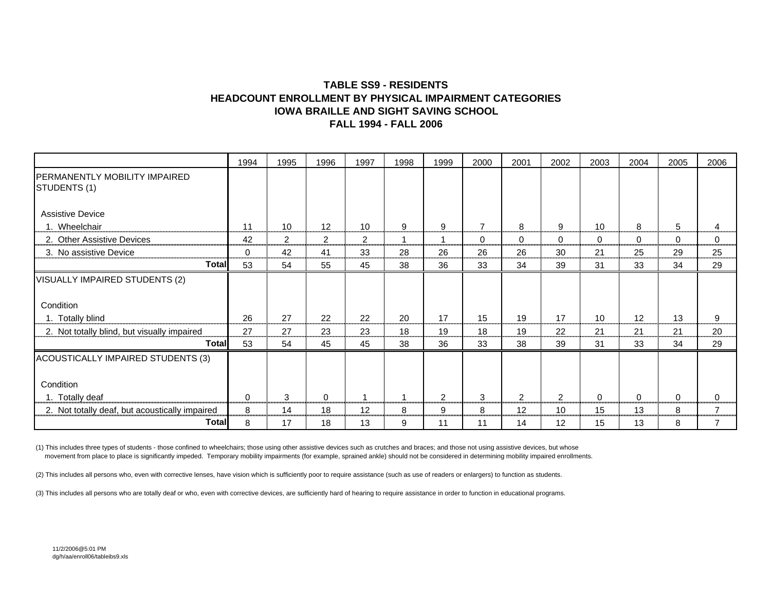#### **TABLE SS9 - RESIDENTSHEADCOUNT ENROLLMENT BY PHYSICAL IMPAIRMENT CATEGORIES IOWA BRAILLE AND SIGHT SAVING SCHOOLFALL 1994 - FALL 2006**

|                                                | 1994     | 1995           | 1996           | 1997 | 1998 | 1999 | 2000     | 2001           | 2002           | 2003     | 2004        | 2005        | 2006           |
|------------------------------------------------|----------|----------------|----------------|------|------|------|----------|----------------|----------------|----------|-------------|-------------|----------------|
| PERMANENTLY MOBILITY IMPAIRED<br>STUDENTS (1)  |          |                |                |      |      |      |          |                |                |          |             |             |                |
| <b>Assistive Device</b>                        |          |                |                |      |      |      |          |                |                |          |             |             |                |
| 1. Wheelchair                                  | 11       | 10             | 12             | 10   | 9    | 9    | 7        | 8              | 9              | 10       | 8           | 5           | $\overline{4}$ |
| 2. Other Assistive Devices                     | 42       | $\overline{2}$ | $\overline{2}$ | 2    | 1    |      | $\Omega$ | $\Omega$       | $\Omega$       | $\Omega$ | $\mathbf 0$ | $\mathbf 0$ | 0              |
| 3. No assistive Device                         | $\Omega$ | 42             | 41             | 33   | 28   | 26   | 26       | 26             | 30             | 21       | 25          | 29          | 25             |
| Total                                          | 53       | 54             | 55             | 45   | 38   | 36   | 33       | 34             | 39             | 31       | 33          | 34          | 29             |
| VISUALLY IMPAIRED STUDENTS (2)                 |          |                |                |      |      |      |          |                |                |          |             |             |                |
| Condition                                      |          |                |                |      |      |      |          |                |                |          |             |             |                |
| 1. Totally blind                               | 26       | 27             | 22             | 22   | 20   | 17   | 15       | 19             | 17             | 10       | 12          | 13          | 9              |
| 2. Not totally blind, but visually impaired    | 27       | 27             | 23             | 23   | 18   | 19   | 18       | 19             | 22             | 21       | 21          | 21          | 20             |
| <b>Total</b>                                   | 53       | 54             | 45             | 45   | 38   | 36   | 33       | 38             | 39             | 31       | 33          | 34          | 29             |
| ACOUSTICALLY IMPAIRED STUDENTS (3)             |          |                |                |      |      |      |          |                |                |          |             |             |                |
|                                                |          |                |                |      |      |      |          |                |                |          |             |             |                |
| Condition                                      |          |                |                |      |      |      |          |                |                |          |             |             |                |
| 1. Totally deaf                                | $\Omega$ | 3              | $\Omega$       |      | -1   | 2    | 3        | $\overline{2}$ | $\overline{2}$ | $\Omega$ | $\Omega$    | $\Omega$    | $\mathbf 0$    |
| 2. Not totally deaf, but acoustically impaired | 8        | 14             | 18             | 12   | 8    | 9    | 8        | 12             | 10             | 15       | 13          | 8           | $\overline{7}$ |
| Total                                          | 8        | 17             | 18             | 13   | 9    | 11   | 11       | 14             | 12             | 15       | 13          | 8           | $\overline{7}$ |

(1) This includes three types of students - those confined to wheelchairs; those using other assistive devices such as crutches and braces; and those not using assistive devices, but whose movement from place to place is significantly impeded. Temporary mobility impairments (for example, sprained ankle) should not be considered in determining mobility impaired enrollments.

(2) This includes all persons who, even with corrective lenses, have vision which is sufficiently poor to require assistance (such as use of readers or enlargers) to function as students.

(3) This includes all persons who are totally deaf or who, even with corrective devices, are sufficiently hard of hearing to require assistance in order to function in educational programs.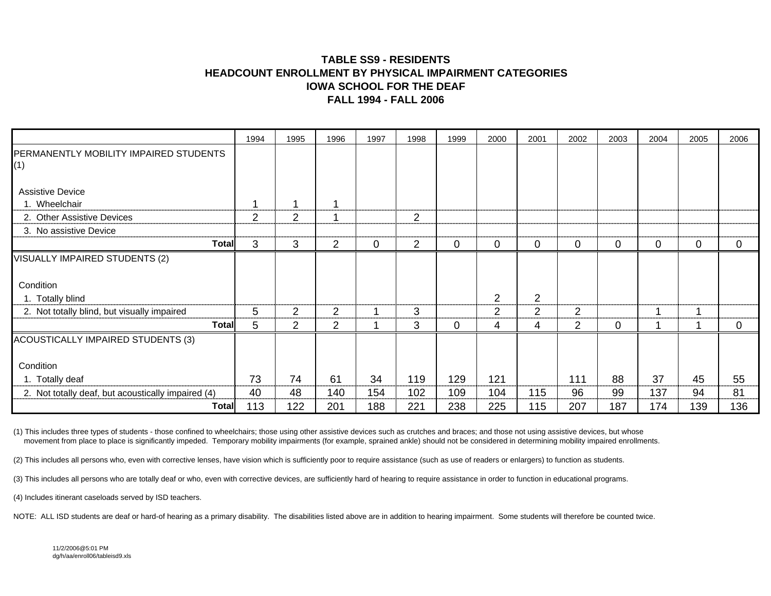#### **TABLE SS9 - RESIDENTSHEADCOUNT ENROLLMENT BY PHYSICAL IMPAIRMENT CATEGORIESIOWA SCHOOL FOR THE DEAFFALL 1994 - FALL 2006**

|                                                    | 1994 | 1995           | 1996           | 1997        | 1998           | 1999        | 2000           | 2001           | 2002           | 2003 | 2004           | 2005        | 2006        |
|----------------------------------------------------|------|----------------|----------------|-------------|----------------|-------------|----------------|----------------|----------------|------|----------------|-------------|-------------|
| PERMANENTLY MOBILITY IMPAIRED STUDENTS<br>(1)      |      |                |                |             |                |             |                |                |                |      |                |             |             |
| <b>Assistive Device</b>                            |      |                |                |             |                |             |                |                |                |      |                |             |             |
| 1. Wheelchair                                      | 1    | ٠              |                |             |                |             |                |                |                |      |                |             |             |
| 2. Other Assistive Devices                         | 2    | $\overline{2}$ |                |             | $\overline{2}$ |             |                |                |                |      |                |             |             |
| 3. No assistive Device                             |      |                |                |             |                |             |                |                |                |      |                |             |             |
| Total                                              | 3    | 3              | 2              | $\mathbf 0$ | 2              | $\mathbf 0$ | $\overline{0}$ | $\mathbf 0$    | $\overline{0}$ | 0    | $\overline{0}$ | $\mathbf 0$ | $\mathbf 0$ |
| <b>VISUALLY IMPAIRED STUDENTS (2)</b>              |      |                |                |             |                |             |                |                |                |      |                |             |             |
| Condition                                          |      |                |                |             |                |             |                |                |                |      |                |             |             |
| 1. Totally blind                                   |      |                |                |             |                |             | $\overline{2}$ | $\overline{2}$ |                |      |                |             |             |
| 2. Not totally blind, but visually impaired        | 5    | $\overline{2}$ | $\overline{2}$ |             | 3              |             | $\overline{2}$ | $\overline{2}$ | 2              |      |                |             |             |
| <b>Total</b>                                       | 5    | $\overline{2}$ | 2              |             | 3              | $\mathbf 0$ | 4              | 4              | $\overline{2}$ | 0    |                |             | $\mathbf 0$ |
| ACOUSTICALLY IMPAIRED STUDENTS (3)                 |      |                |                |             |                |             |                |                |                |      |                |             |             |
| Condition                                          |      |                |                |             |                |             |                |                |                |      |                |             |             |
| 1. Totally deaf                                    | 73   | 74             | 61             | 34          | 119            | 129         | 121            |                | 111            | 88   | 37             | 45          | 55          |
| 2. Not totally deaf, but acoustically impaired (4) | 40   | 48             | 140            | 154         | 102            | 109         | 104            | 115            | 96             | 99   | 137            | 94          | 81          |
| <b>Total</b>                                       | 113  | 122            | 201            | 188         | 221            | 238         | 225            | 115            | 207            | 187  | 174            | 139         | 136         |

(1) This includes three types of students - those confined to wheelchairs; those using other assistive devices such as crutches and braces; and those not using assistive devices, but whose movement from place to place is significantly impeded. Temporary mobility impairments (for example, sprained ankle) should not be considered in determining mobility impaired enrollments.

(2) This includes all persons who, even with corrective lenses, have vision which is sufficiently poor to require assistance (such as use of readers or enlargers) to function as students.

(3) This includes all persons who are totally deaf or who, even with corrective devices, are sufficiently hard of hearing to require assistance in order to function in educational programs.

(4) Includes itinerant caseloads served by ISD teachers.

NOTE: ALL ISD students are deaf or hard-of hearing as a primary disability. The disabilities listed above are in addition to hearing impairment. Some students will therefore be counted twice.

11/2/2006@5:01 PMdg/h/aa/enroll06/tableisd9.xls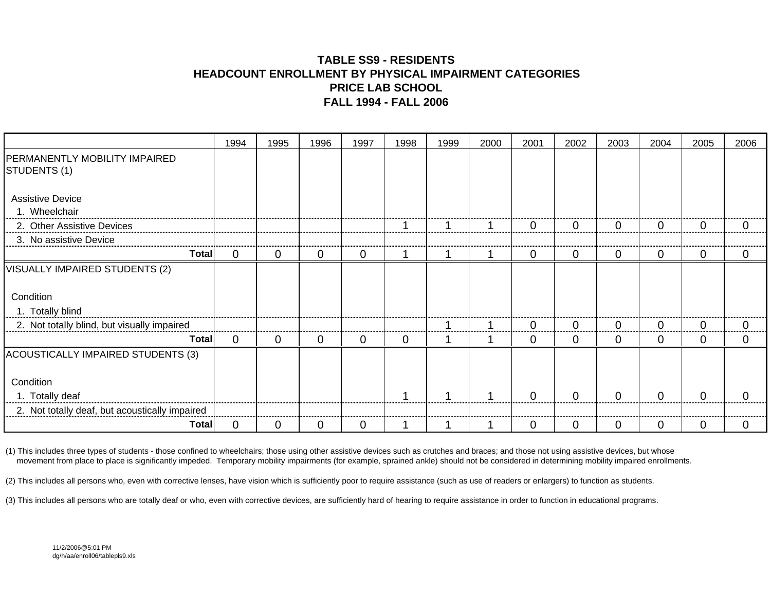### **TABLE SS9 - RESIDENTSHEADCOUNT ENROLLMENT BY PHYSICAL IMPAIRMENT CATEGORIESPRICE LAB SCHOOLFALL 1994 - FALL 2006**

|                                                | 1994           | 1995           | 1996           | 1997           | 1998           | 1999 | 2000 | 2001           | 2002 | 2003           | 2004        | 2005           | 2006           |
|------------------------------------------------|----------------|----------------|----------------|----------------|----------------|------|------|----------------|------|----------------|-------------|----------------|----------------|
| PERMANENTLY MOBILITY IMPAIRED<br>STUDENTS (1)  |                |                |                |                |                |      |      |                |      |                |             |                |                |
| <b>Assistive Device</b><br>1. Wheelchair       |                |                |                |                |                |      |      |                |      |                |             |                |                |
| 2. Other Assistive Devices                     |                |                |                |                |                |      |      | $\mathbf 0$    | 0    | $\overline{0}$ | 0           | 0              | $\mathbf 0$    |
| 3. No assistive Device                         |                |                |                |                |                |      |      |                |      |                |             |                |                |
| <b>Total</b>                                   | $\overline{0}$ | $\mathbf 0$    | 0              | 0              |                |      |      | 0              | 0    | $\mathbf 0$    | 0           | 0              | $\mathbf 0$    |
| VISUALLY IMPAIRED STUDENTS (2)                 |                |                |                |                |                |      |      |                |      |                |             |                |                |
| Condition<br>1. Totally blind                  |                |                |                |                |                |      |      |                |      |                |             |                |                |
| 2. Not totally blind, but visually impaired    |                |                |                |                |                | 1    |      | $\Omega$       | 0    | $\overline{0}$ | $\Omega$    | $\overline{0}$ | $\overline{0}$ |
| <b>Total</b>                                   | $\overline{0}$ | $\overline{0}$ | $\overline{0}$ | $\overline{0}$ | $\overline{0}$ | 4    |      | $\overline{0}$ | 0    | $\overline{0}$ | 0           | $\mathbf 0$    | $\mathbf 0$    |
| ACOUSTICALLY IMPAIRED STUDENTS (3)             |                |                |                |                |                |      |      |                |      |                |             |                |                |
| Condition                                      |                |                |                |                |                |      |      |                |      |                |             |                |                |
| 1. Totally deaf                                |                |                |                |                |                | 4    |      | $\overline{0}$ | 0    | $\overline{0}$ | $\mathbf 0$ | $\overline{0}$ | $\overline{0}$ |
| 2. Not totally deaf, but acoustically impaired |                |                |                |                |                |      |      |                |      |                |             |                |                |
| <b>Total</b>                                   | $\mathbf 0$    | $\overline{0}$ | 0              | 0              |                |      |      | 0              | 0    | $\overline{0}$ | 0           | $\overline{0}$ | 0              |

(1) This includes three types of students - those confined to wheelchairs; those using other assistive devices such as crutches and braces; and those not using assistive devices, but whose movement from place to place is significantly impeded. Temporary mobility impairments (for example, sprained ankle) should not be considered in determining mobility impaired enrollments.

(2) This includes all persons who, even with corrective lenses, have vision which is sufficiently poor to require assistance (such as use of readers or enlargers) to function as students.

(3) This includes all persons who are totally deaf or who, even with corrective devices, are sufficiently hard of hearing to require assistance in order to function in educational programs.